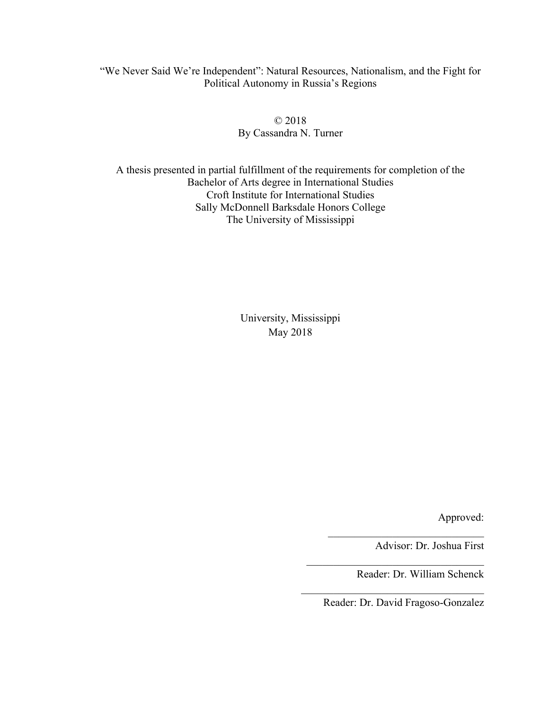"We Never Said We're Independent": Natural Resources, Nationalism, and the Fight for Political Autonomy in Russia's Regions

> © 2018 By Cassandra N. Turner

A thesis presented in partial fulfillment of the requirements for completion of the Bachelor of Arts degree in International Studies Croft Institute for International Studies Sally McDonnell Barksdale Honors College The University of Mississippi

> University, Mississippi May 2018

> > Approved:

Advisor: Dr. Joshua First

Reader: Dr. William Schenck

Reader: Dr. David Fragoso-Gonzalez

 $\mathcal{L}_\text{max}$  , where  $\mathcal{L}_\text{max}$  and  $\mathcal{L}_\text{max}$  and  $\mathcal{L}_\text{max}$ 

 $\mathcal{L}_\text{max}$ 

 $\mathcal{L}_\text{max}$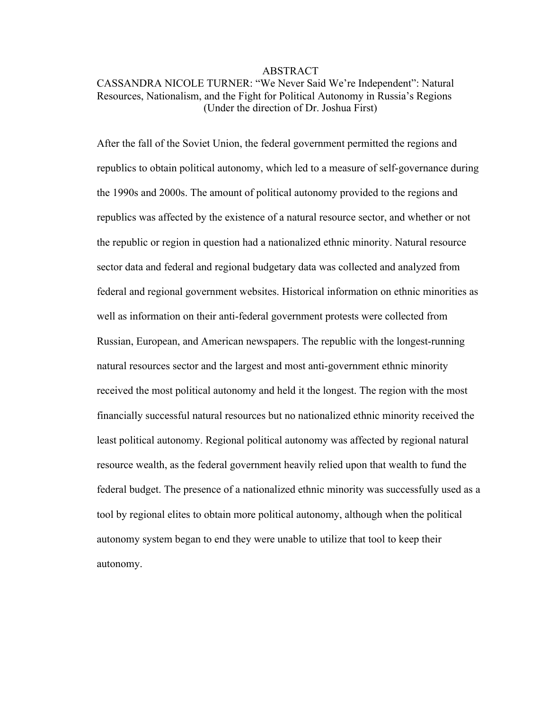#### ABSTRACT

# CASSANDRA NICOLE TURNER: "We Never Said We're Independent": Natural Resources, Nationalism, and the Fight for Political Autonomy in Russia's Regions (Under the direction of Dr. Joshua First)

After the fall of the Soviet Union, the federal government permitted the regions and republics to obtain political autonomy, which led to a measure of self-governance during the 1990s and 2000s. The amount of political autonomy provided to the regions and republics was affected by the existence of a natural resource sector, and whether or not the republic or region in question had a nationalized ethnic minority. Natural resource sector data and federal and regional budgetary data was collected and analyzed from federal and regional government websites. Historical information on ethnic minorities as well as information on their anti-federal government protests were collected from Russian, European, and American newspapers. The republic with the longest-running natural resources sector and the largest and most anti-government ethnic minority received the most political autonomy and held it the longest. The region with the most financially successful natural resources but no nationalized ethnic minority received the least political autonomy. Regional political autonomy was affected by regional natural resource wealth, as the federal government heavily relied upon that wealth to fund the federal budget. The presence of a nationalized ethnic minority was successfully used as a tool by regional elites to obtain more political autonomy, although when the political autonomy system began to end they were unable to utilize that tool to keep their autonomy.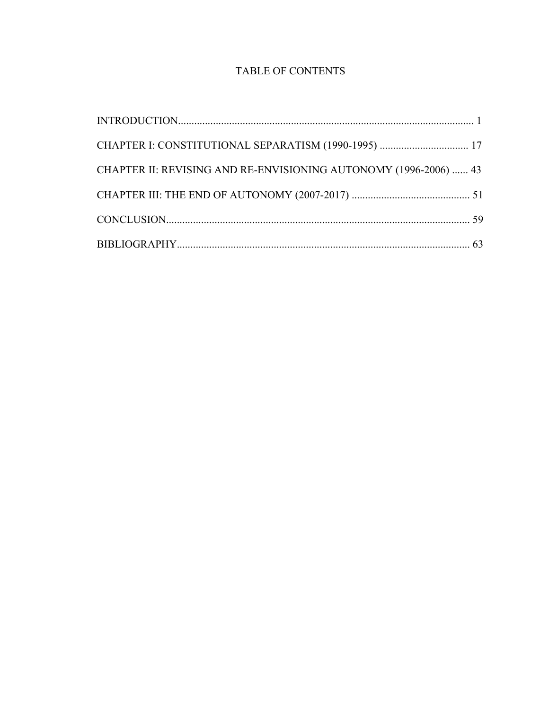# TABLE OF CONTENTS

| CHAPTER I: CONSTITUTIONAL SEPARATISM (1990-1995)  17             |  |
|------------------------------------------------------------------|--|
| CHAPTER II: REVISING AND RE-ENVISIONING AUTONOMY (1996-2006)  43 |  |
|                                                                  |  |
|                                                                  |  |
|                                                                  |  |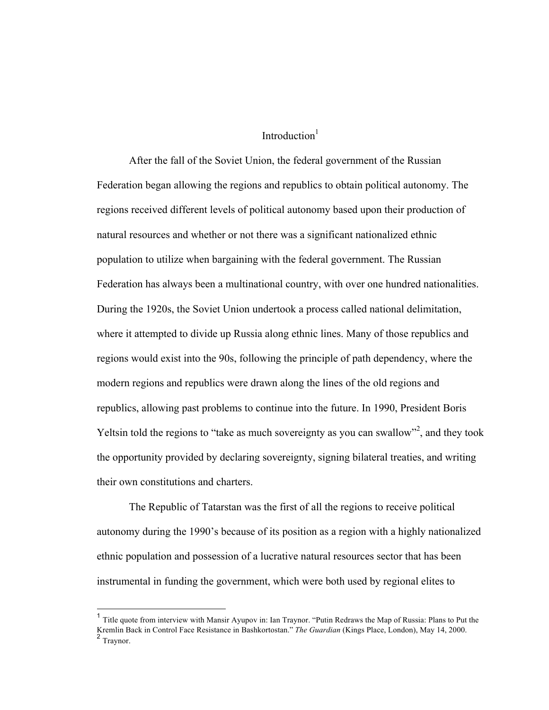## Introduction $<sup>1</sup>$ </sup>

After the fall of the Soviet Union, the federal government of the Russian Federation began allowing the regions and republics to obtain political autonomy. The regions received different levels of political autonomy based upon their production of natural resources and whether or not there was a significant nationalized ethnic population to utilize when bargaining with the federal government. The Russian Federation has always been a multinational country, with over one hundred nationalities. During the 1920s, the Soviet Union undertook a process called national delimitation, where it attempted to divide up Russia along ethnic lines. Many of those republics and regions would exist into the 90s, following the principle of path dependency, where the modern regions and republics were drawn along the lines of the old regions and republics, allowing past problems to continue into the future. In 1990, President Boris Yeltsin told the regions to "take as much sovereignty as you can swallow"<sup>2</sup>, and they took the opportunity provided by declaring sovereignty, signing bilateral treaties, and writing their own constitutions and charters.

The Republic of Tatarstan was the first of all the regions to receive political autonomy during the 1990's because of its position as a region with a highly nationalized ethnic population and possession of a lucrative natural resources sector that has been instrumental in funding the government, which were both used by regional elites to

<sup>&</sup>lt;sup>1</sup> Title quote from interview with Mansir Ayupov in: Ian Traynor. "Putin Redraws the Map of Russia: Plans to Put the Kremlin Back in Control Face Resistance in Bashkortostan." *The Guardian* (Kings Place, London), May 14, 2000. <sup>2</sup> Traynor.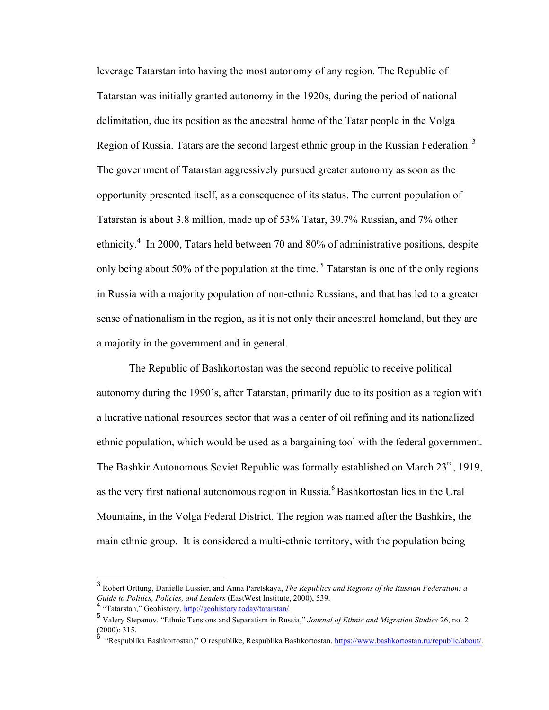leverage Tatarstan into having the most autonomy of any region. The Republic of Tatarstan was initially granted autonomy in the 1920s, during the period of national delimitation, due its position as the ancestral home of the Tatar people in the Volga Region of Russia. Tatars are the second largest ethnic group in the Russian Federation.<sup>3</sup> The government of Tatarstan aggressively pursued greater autonomy as soon as the opportunity presented itself, as a consequence of its status. The current population of Tatarstan is about 3.8 million, made up of 53% Tatar, 39.7% Russian, and 7% other ethnicity.<sup>4</sup> In 2000, Tatars held between 70 and 80% of administrative positions, despite only being about 50% of the population at the time.<sup>5</sup> Tatarstan is one of the only regions in Russia with a majority population of non-ethnic Russians, and that has led to a greater sense of nationalism in the region, as it is not only their ancestral homeland, but they are a majority in the government and in general.

The Republic of Bashkortostan was the second republic to receive political autonomy during the 1990's, after Tatarstan, primarily due to its position as a region with a lucrative national resources sector that was a center of oil refining and its nationalized ethnic population, which would be used as a bargaining tool with the federal government. The Bashkir Autonomous Soviet Republic was formally established on March 23<sup>rd</sup>, 1919, as the very first national autonomous region in Russia.<sup>6</sup> Bashkortostan lies in the Ural Mountains, in the Volga Federal District. The region was named after the Bashkirs, the main ethnic group. It is considered a multi-ethnic territory, with the population being

 <sup>3</sup> Robert Orttung, Danielle Lussier, and Anna Paretskaya, *The Republics and Regions of the Russian Federation: a Guide to Politics, Policies, and Leaders* (EastWest Institute, 2000), 539.

<sup>4</sup> "Tatarstan," Geohistory. http://geohistory.today/tatarstan/.

<sup>5</sup> Valery Stepanov. "Ethnic Tensions and Separatism in Russia," *Journal of Ethnic and Migration Studies* 26, no. 2  $(2000): 315.$ 

"Respublika Bashkortostan," O respublike, Respublika Bashkortostan. https://www.bashkortostan.ru/republic/about/.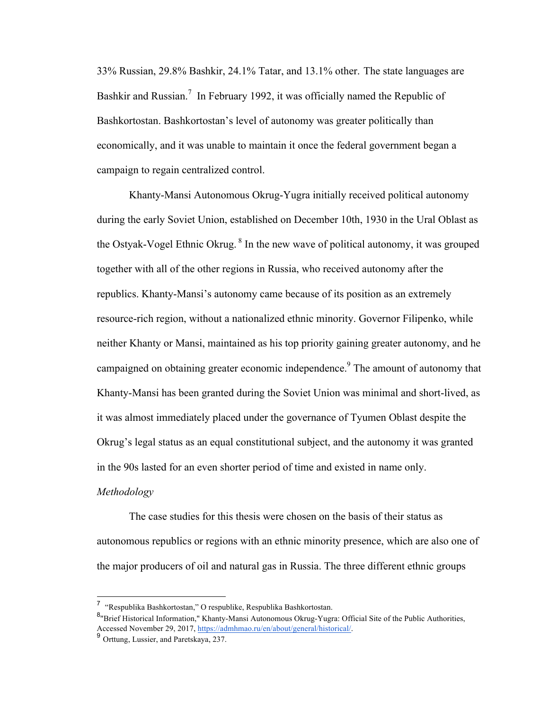33% Russian, 29.8% Bashkir, 24.1% Tatar, and 13.1% other. The state languages are Bashkir and Russian.<sup>7</sup> In February 1992, it was officially named the Republic of Bashkortostan. Bashkortostan's level of autonomy was greater politically than economically, and it was unable to maintain it once the federal government began a campaign to regain centralized control.

Khanty-Mansi Autonomous Okrug-Yugra initially received political autonomy during the early Soviet Union, established on December 10th, 1930 in the Ural Oblast as the Ostyak-Vogel Ethnic Okrug. <sup>8</sup> In the new wave of political autonomy, it was grouped together with all of the other regions in Russia, who received autonomy after the republics. Khanty-Mansi's autonomy came because of its position as an extremely resource-rich region, without a nationalized ethnic minority. Governor Filipenko, while neither Khanty or Mansi, maintained as his top priority gaining greater autonomy, and he campaigned on obtaining greater economic independence.<sup>9</sup> The amount of autonomy that Khanty-Mansi has been granted during the Soviet Union was minimal and short-lived, as it was almost immediately placed under the governance of Tyumen Oblast despite the Okrug's legal status as an equal constitutional subject, and the autonomy it was granted in the 90s lasted for an even shorter period of time and existed in name only.

#### *Methodology*

The case studies for this thesis were chosen on the basis of their status as autonomous republics or regions with an ethnic minority presence, which are also one of the major producers of oil and natural gas in Russia. The three different ethnic groups

<sup>7 &</sup>quot;Respublika Bashkortostan," O respublike, Respublika Bashkortostan.

<sup>&</sup>lt;sup>8</sup>"Brief Historical Information," Khanty-Mansi Autonomous Okrug-Yugra: Official Site of the Public Authorities, Accessed November 29, 2017, https://admhmao.ru/en/about/general/historical/.<br><sup>9</sup> Orttung, Lussier, and Paretskaya, 237.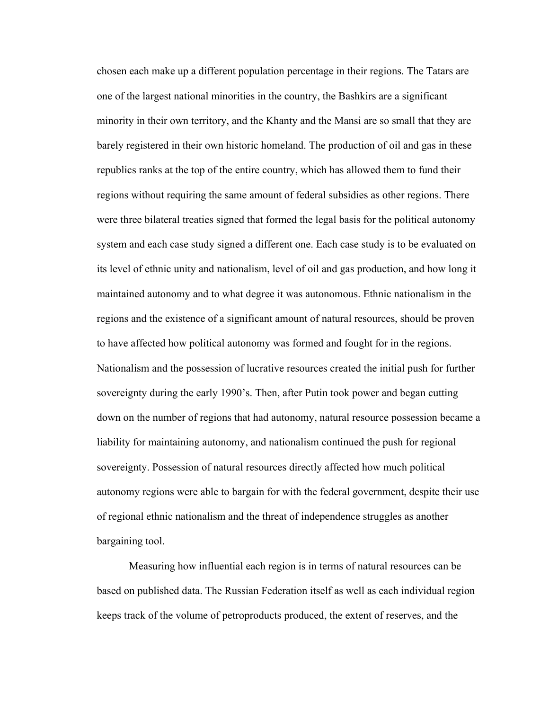chosen each make up a different population percentage in their regions. The Tatars are one of the largest national minorities in the country, the Bashkirs are a significant minority in their own territory, and the Khanty and the Mansi are so small that they are barely registered in their own historic homeland. The production of oil and gas in these republics ranks at the top of the entire country, which has allowed them to fund their regions without requiring the same amount of federal subsidies as other regions. There were three bilateral treaties signed that formed the legal basis for the political autonomy system and each case study signed a different one. Each case study is to be evaluated on its level of ethnic unity and nationalism, level of oil and gas production, and how long it maintained autonomy and to what degree it was autonomous. Ethnic nationalism in the regions and the existence of a significant amount of natural resources, should be proven to have affected how political autonomy was formed and fought for in the regions. Nationalism and the possession of lucrative resources created the initial push for further sovereignty during the early 1990's. Then, after Putin took power and began cutting down on the number of regions that had autonomy, natural resource possession became a liability for maintaining autonomy, and nationalism continued the push for regional sovereignty. Possession of natural resources directly affected how much political autonomy regions were able to bargain for with the federal government, despite their use of regional ethnic nationalism and the threat of independence struggles as another bargaining tool.

Measuring how influential each region is in terms of natural resources can be based on published data. The Russian Federation itself as well as each individual region keeps track of the volume of petroproducts produced, the extent of reserves, and the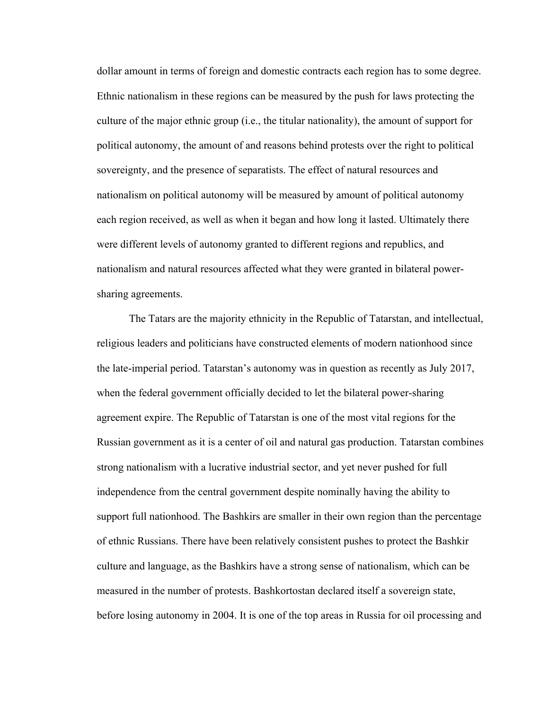dollar amount in terms of foreign and domestic contracts each region has to some degree. Ethnic nationalism in these regions can be measured by the push for laws protecting the culture of the major ethnic group (i.e., the titular nationality), the amount of support for political autonomy, the amount of and reasons behind protests over the right to political sovereignty, and the presence of separatists. The effect of natural resources and nationalism on political autonomy will be measured by amount of political autonomy each region received, as well as when it began and how long it lasted. Ultimately there were different levels of autonomy granted to different regions and republics, and nationalism and natural resources affected what they were granted in bilateral powersharing agreements.

The Tatars are the majority ethnicity in the Republic of Tatarstan, and intellectual, religious leaders and politicians have constructed elements of modern nationhood since the late-imperial period. Tatarstan's autonomy was in question as recently as July 2017, when the federal government officially decided to let the bilateral power-sharing agreement expire. The Republic of Tatarstan is one of the most vital regions for the Russian government as it is a center of oil and natural gas production. Tatarstan combines strong nationalism with a lucrative industrial sector, and yet never pushed for full independence from the central government despite nominally having the ability to support full nationhood. The Bashkirs are smaller in their own region than the percentage of ethnic Russians. There have been relatively consistent pushes to protect the Bashkir culture and language, as the Bashkirs have a strong sense of nationalism, which can be measured in the number of protests. Bashkortostan declared itself a sovereign state, before losing autonomy in 2004. It is one of the top areas in Russia for oil processing and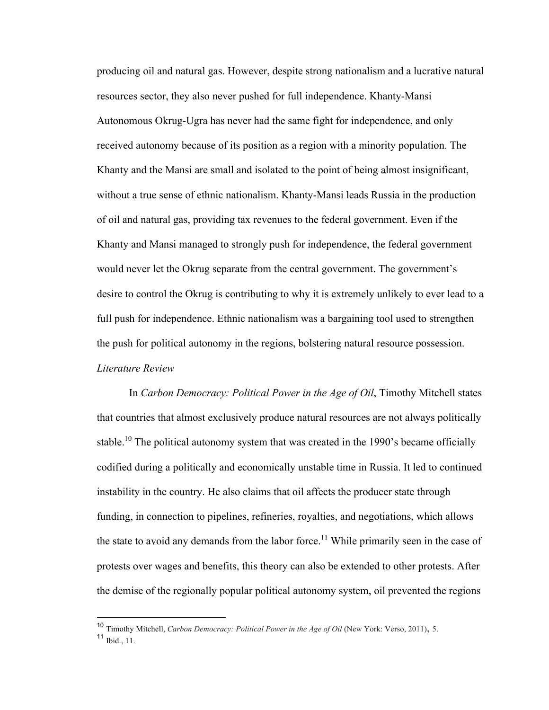producing oil and natural gas. However, despite strong nationalism and a lucrative natural resources sector, they also never pushed for full independence. Khanty-Mansi Autonomous Okrug-Ugra has never had the same fight for independence, and only received autonomy because of its position as a region with a minority population. The Khanty and the Mansi are small and isolated to the point of being almost insignificant, without a true sense of ethnic nationalism. Khanty-Mansi leads Russia in the production of oil and natural gas, providing tax revenues to the federal government. Even if the Khanty and Mansi managed to strongly push for independence, the federal government would never let the Okrug separate from the central government. The government's desire to control the Okrug is contributing to why it is extremely unlikely to ever lead to a full push for independence. Ethnic nationalism was a bargaining tool used to strengthen the push for political autonomy in the regions, bolstering natural resource possession. *Literature Review*

In *Carbon Democracy: Political Power in the Age of Oil*, Timothy Mitchell states that countries that almost exclusively produce natural resources are not always politically stable.<sup>10</sup> The political autonomy system that was created in the 1990's became officially codified during a politically and economically unstable time in Russia. It led to continued instability in the country. He also claims that oil affects the producer state through funding, in connection to pipelines, refineries, royalties, and negotiations, which allows the state to avoid any demands from the labor force.<sup>11</sup> While primarily seen in the case of protests over wages and benefits, this theory can also be extended to other protests. After the demise of the regionally popular political autonomy system, oil prevented the regions

 <sup>10</sup> Timothy Mitchell, *Carbon Democracy: Political Power in the Age of Oil* (New York: Verso, 2011), 5.

<sup>11</sup> Ibid., 11.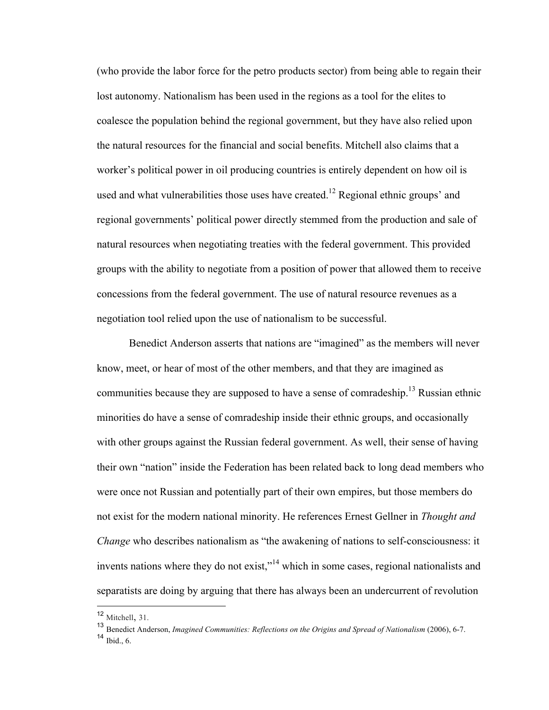(who provide the labor force for the petro products sector) from being able to regain their lost autonomy. Nationalism has been used in the regions as a tool for the elites to coalesce the population behind the regional government, but they have also relied upon the natural resources for the financial and social benefits. Mitchell also claims that a worker's political power in oil producing countries is entirely dependent on how oil is used and what vulnerabilities those uses have created.<sup>12</sup> Regional ethnic groups' and regional governments' political power directly stemmed from the production and sale of natural resources when negotiating treaties with the federal government. This provided groups with the ability to negotiate from a position of power that allowed them to receive concessions from the federal government. The use of natural resource revenues as a negotiation tool relied upon the use of nationalism to be successful.

Benedict Anderson asserts that nations are "imagined" as the members will never know, meet, or hear of most of the other members, and that they are imagined as communities because they are supposed to have a sense of comradeship.<sup>13</sup> Russian ethnic minorities do have a sense of comradeship inside their ethnic groups, and occasionally with other groups against the Russian federal government. As well, their sense of having their own "nation" inside the Federation has been related back to long dead members who were once not Russian and potentially part of their own empires, but those members do not exist for the modern national minority. He references Ernest Gellner in *Thought and Change* who describes nationalism as "the awakening of nations to self-consciousness: it invents nations where they do not exist,"<sup>14</sup> which in some cases, regional nationalists and separatists are doing by arguing that there has always been an undercurrent of revolution

 <sup>12</sup> Mitchell, 31.

<sup>13</sup> Benedict Anderson, *Imagined Communities: Reflections on the Origins and Spread of Nationalism* (2006), 6-7.

 $14$  Ibid., 6.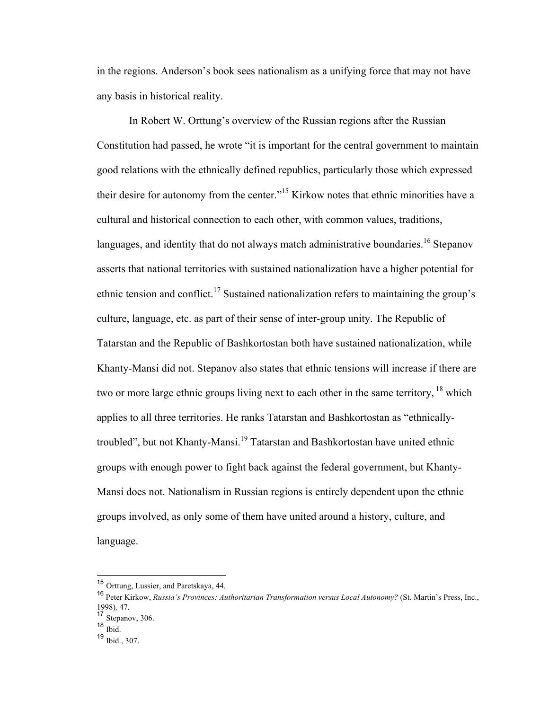in the regions. Anderson's book sees nationalism as a unifying force that may not have any basis in historical reality.

In Robert W. Orttung's overview of the Russian regions after the Russian Constitution had passed, he wrote "it is important for the central government to maintain good relations with the ethnically defined republics, particularly those which expressed their desire for autonomy from the center."15 Kirkow notes that ethnic minorities have a cultural and historical connection to each other, with common values, traditions, languages, and identity that do not always match administrative boundaries.<sup>16</sup> Stepanov asserts that national territories with sustained nationalization have a higher potential for ethnic tension and conflict.<sup>17</sup> Sustained nationalization refers to maintaining the group's culture, language, etc. as part of their sense of inter-group unity. The Republic of Tatarstan and the Republic of Bashkortostan both have sustained nationalization, while Khanty-Mansi did not. Stepanov also states that ethnic tensions will increase if there are two or more large ethnic groups living next to each other in the same territory, <sup>18</sup> which applies to all three territories. He ranks Tatarstan and Bashkortostan as "ethnicallytroubled", but not Khanty-Mansi.<sup>19</sup> Tatarstan and Bashkortostan have united ethnic groups with enough power to fight back against the federal government, but Khanty-Mansi does not. Nationalism in Russian regions is entirely dependent upon the ethnic groups involved, as only some of them have united around a history, culture, and language.

 <sup>15</sup> Orttung, Lussier, and Paretskaya, 44.

<sup>16</sup> Peter Kirkow, *Russia's Provinces: Authoritarian Transformation versus Local Autonomy?* (St. Martin's Press, Inc., 1998)*,* 47.

<sup>17</sup> Stepanov, 306.

<sup>18</sup>  $\overline{\text{Ibid.}}$ 

<sup>19</sup> Ibid., 307.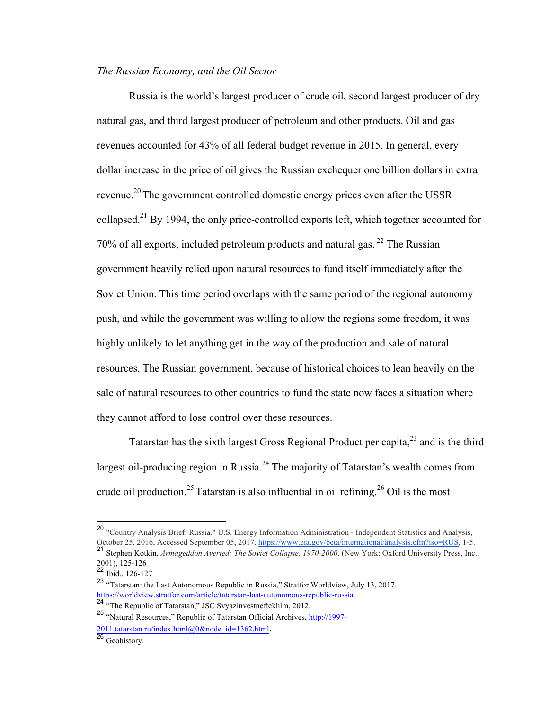## *The Russian Economy, and the Oil Sector*

Russia is the world's largest producer of crude oil, second largest producer of dry natural gas, and third largest producer of petroleum and other products. Oil and gas revenues accounted for 43% of all federal budget revenue in 2015. In general, every dollar increase in the price of oil gives the Russian exchequer one billion dollars in extra revenue.<sup>20</sup> The government controlled domestic energy prices even after the USSR collapsed.<sup>21</sup> By 1994, the only price-controlled exports left, which together accounted for 70% of all exports, included petroleum products and natural gas.  $^{22}$  The Russian government heavily relied upon natural resources to fund itself immediately after the Soviet Union. This time period overlaps with the same period of the regional autonomy push, and while the government was willing to allow the regions some freedom, it was highly unlikely to let anything get in the way of the production and sale of natural resources. The Russian government, because of historical choices to lean heavily on the sale of natural resources to other countries to fund the state now faces a situation where they cannot afford to lose control over these resources.

Tatarstan has the sixth largest Gross Regional Product per capita,  $2<sup>3</sup>$  and is the third largest oil-producing region in Russia.<sup>24</sup> The majority of Tatarstan's wealth comes from crude oil production.<sup>25</sup> Tatarstan is also influential in oil refining.<sup>26</sup> Oil is the most

 <sup>20</sup> "Country Analysis Brief: Russia." U.S. Energy Information Administration - Independent Statistics and Analysis, October 25, 2016, Accessed September 05, 2017. https://www.eia.gov/beta/international/analysis.cfm?iso=RUS, 1-5. 21 Stephen Kotkin, *Armageddon Averted: The Soviet Collapse, 1970-2000*. (New York: Oxford University Press, Inc., 2001), 125-126

 $22$  Ibid., 126-127

<sup>23</sup> "Tatarstan: the Last Autonomous Republic in Russia," Stratfor Worldview, July 13, 2017. https://worldview.stratfor.com/article/tatarstan-last-autonomous-republic-russia

<sup>&</sup>lt;sup>24</sup> "The Republic of Tatarstan," JSC Svyazinvestneftekhim, 2012.

<sup>25</sup> "Natural Resources," Republic of Tatarstan Official Archives, http://1997- 2011.tatarstan.ru/index.html@0&node\_id=1362.html.<br><sup>26</sup> Geohistory.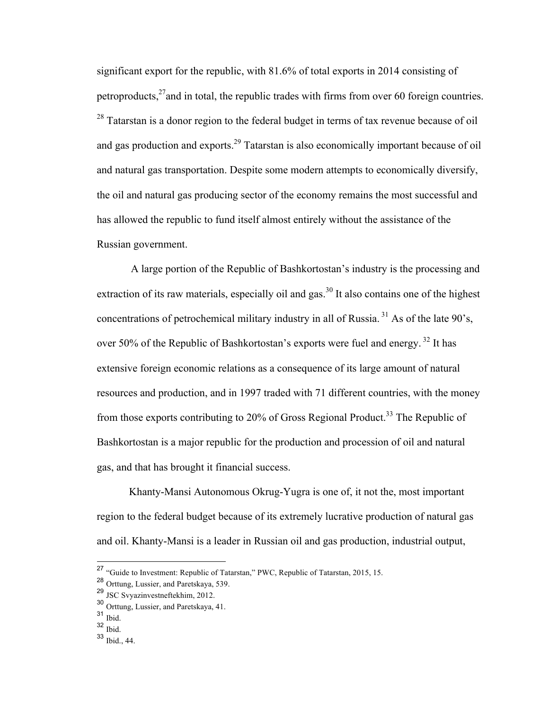significant export for the republic, with 81.6% of total exports in 2014 consisting of petroproducts, $^{27}$ and in total, the republic trades with firms from over 60 foreign countries. <sup>28</sup> Tatarstan is a donor region to the federal budget in terms of tax revenue because of oil and gas production and exports.29 Tatarstan is also economically important because of oil and natural gas transportation. Despite some modern attempts to economically diversify, the oil and natural gas producing sector of the economy remains the most successful and has allowed the republic to fund itself almost entirely without the assistance of the Russian government.

A large portion of the Republic of Bashkortostan's industry is the processing and extraction of its raw materials, especially oil and gas.<sup>30</sup> It also contains one of the highest concentrations of petrochemical military industry in all of Russia.<sup>31</sup> As of the late  $90^\circ$ s, over 50% of the Republic of Bashkortostan's exports were fuel and energy.<sup>32</sup> It has extensive foreign economic relations as a consequence of its large amount of natural resources and production, and in 1997 traded with 71 different countries, with the money from those exports contributing to 20% of Gross Regional Product.<sup>33</sup> The Republic of Bashkortostan is a major republic for the production and procession of oil and natural gas, and that has brought it financial success.

Khanty-Mansi Autonomous Okrug-Yugra is one of, it not the, most important region to the federal budget because of its extremely lucrative production of natural gas and oil. Khanty-Mansi is a leader in Russian oil and gas production, industrial output,

<sup>&</sup>lt;sup>27</sup> "Guide to Investment: Republic of Tatarstan," PWC, Republic of Tatarstan, 2015, 15.

<sup>28</sup> Orttung, Lussier, and Paretskaya, 539.

<sup>29</sup> JSC Svyazinvestneftekhim, 2012.

<sup>30</sup> Orttung, Lussier, and Paretskaya, 41. 

<sup>31</sup> Ibid.

 $32$  Ibid.

<sup>33</sup> Ibid., 44.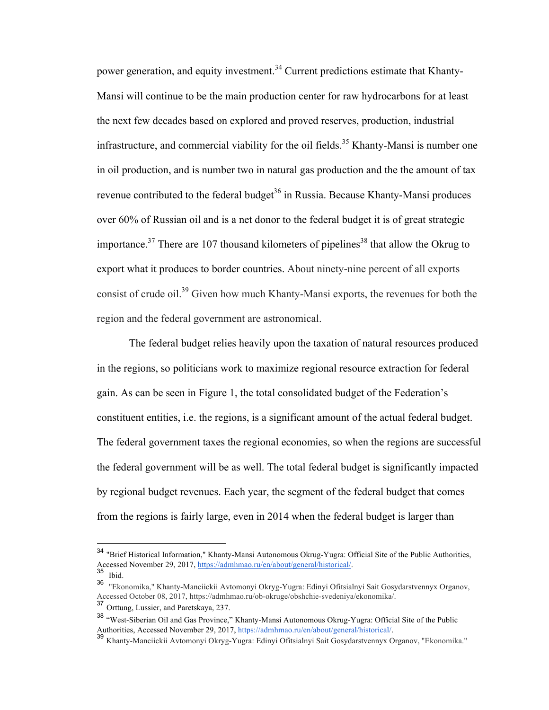power generation, and equity investment.<sup>34</sup> Current predictions estimate that Khanty-Mansi will continue to be the main production center for raw hydrocarbons for at least the next few decades based on explored and proved reserves, production, industrial infrastructure, and commercial viability for the oil fields.<sup>35</sup> Khanty-Mansi is number one in oil production, and is number two in natural gas production and the the amount of tax revenue contributed to the federal budget<sup>36</sup> in Russia. Because Khanty-Mansi produces over 60% of Russian oil and is a net donor to the federal budget it is of great strategic importance.<sup>37</sup> There are 107 thousand kilometers of pipelines<sup>38</sup> that allow the Okrug to export what it produces to border countries. About ninety-nine percent of all exports consist of crude oil.39 Given how much Khanty-Mansi exports, the revenues for both the region and the federal government are astronomical.

The federal budget relies heavily upon the taxation of natural resources produced in the regions, so politicians work to maximize regional resource extraction for federal gain. As can be seen in Figure 1, the total consolidated budget of the Federation's constituent entities, i.e. the regions, is a significant amount of the actual federal budget. The federal government taxes the regional economies, so when the regions are successful the federal government will be as well. The total federal budget is significantly impacted by regional budget revenues. Each year, the segment of the federal budget that comes from the regions is fairly large, even in 2014 when the federal budget is larger than

 <sup>34</sup> "Brief Historical Information," Khanty-Mansi Autonomous Okrug-Yugra: Official Site of the Public Authorities, Accessed November 29, 2017, https://admhmao.ru/en/about/general/historical/.<br>35 Ibid.

<sup>36</sup> "Ekonomika," Khanty-Manciickii Avtomonyi Okryg-Yugra: Edinyi Ofitsialnyi Sait Gosydarstvennyx Organov, Accessed October 08, 2017, https://admhmao.ru/ob-okruge/obshchie-svedeniya/ekonomika/.

<sup>&</sup>lt;sup>37</sup> Orttung, Lussier, and Paretskaya, 237.

<sup>38</sup> "West-Siberian Oil and Gas Province," Khanty-Mansi Autonomous Okrug-Yugra: Official Site of the Public Authorities, Accessed November 29, 2017, https://admhmao.ru/en/about/general/historical/.<br><sup>39</sup> Khanty-Manciickii Avtomonyi Okryg-Yugra: Edinyi Ofitsialnyi Sait Gosydarstvennyx Organov, "Ekonomika."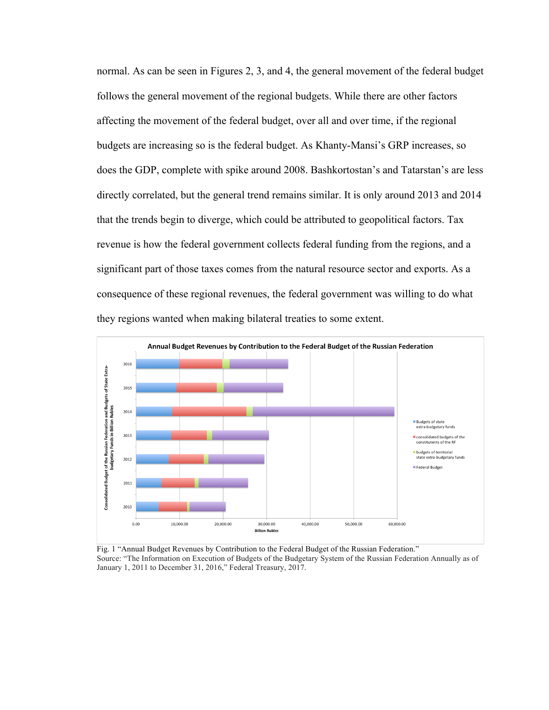normal. As can be seen in Figures 2, 3, and 4, the general movement of the federal budget follows the general movement of the regional budgets. While there are other factors affecting the movement of the federal budget, over all and over time, if the regional budgets are increasing so is the federal budget. As Khanty-Mansi's GRP increases, so does the GDP, complete with spike around 2008. Bashkortostan's and Tatarstan's are less directly correlated, but the general trend remains similar. It is only around 2013 and 2014 that the trends begin to diverge, which could be attributed to geopolitical factors. Tax revenue is how the federal government collects federal funding from the regions, and a significant part of those taxes comes from the natural resource sector and exports. As a consequence of these regional revenues, the federal government was willing to do what they regions wanted when making bilateral treaties to some extent.



Fig. 1 "Annual Budget Revenues by Contribution to the Federal Budget of the Russian Federation." Source: "The Information on Execution of Budgets of the Budgetary System of the Russian Federation Annually as of January 1, 2011 to December 31, 2016," Federal Treasury, 2017.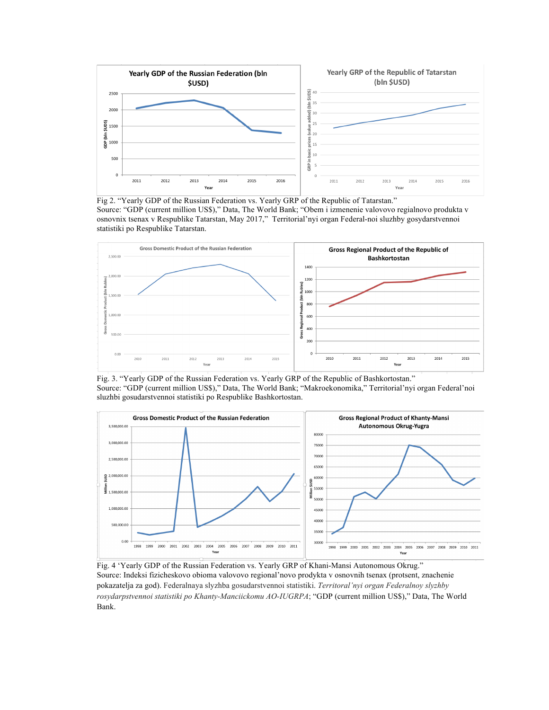

Fig 2. "Yearly GDP of the Russian Federation vs. Yearly GRP of the Republic of Tatarstan." Source: "GDP (current million US\$)," Data, The World Bank; "Obem i izmenenie valovovo regialnovo produkta v osnovnix tsenax v Respublike Tatarstan, May 2017," Territorial'nyi organ Federal-noi sluzhby gosydarstvennoi statistiki po Respublike Tatarstan.



Fig. 3. "Yearly GDP of the Russian Federation vs. Yearly GRP of the Republic of Bashkortostan." Source: "GDP (current million US\$)," Data, The World Bank; "Makroekonomika," Territorial'nyi organ Federal'noi sluzhbi gosudarstvennoi statistiki po Respublike Bashkortostan.



Fig. 4 'Yearly GDP of the Russian Federation vs. Yearly GRP of Khani-Mansi Autonomous Okrug." Source: Indeksi fizicheskovo obioma valovovo regional'novo prodykta v osnovnih tsenax (protsent, znachenie pokazatelja za god). Federalnaya slyzhba gosudarstvennoi statistiki. *Territoral'nyi organ Federalnoy slyzhby rosydarpstvennoi statistiki po Khanty-Manciickomu AO-IUGRPA*; "GDP (current million US\$)," Data, The World Bank.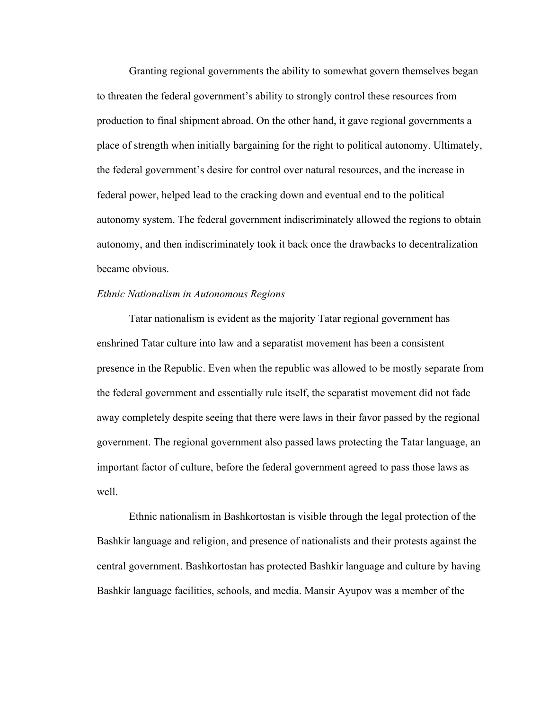Granting regional governments the ability to somewhat govern themselves began to threaten the federal government's ability to strongly control these resources from production to final shipment abroad. On the other hand, it gave regional governments a place of strength when initially bargaining for the right to political autonomy. Ultimately, the federal government's desire for control over natural resources, and the increase in federal power, helped lead to the cracking down and eventual end to the political autonomy system. The federal government indiscriminately allowed the regions to obtain autonomy, and then indiscriminately took it back once the drawbacks to decentralization became obvious.

## *Ethnic Nationalism in Autonomous Regions*

Tatar nationalism is evident as the majority Tatar regional government has enshrined Tatar culture into law and a separatist movement has been a consistent presence in the Republic. Even when the republic was allowed to be mostly separate from the federal government and essentially rule itself, the separatist movement did not fade away completely despite seeing that there were laws in their favor passed by the regional government. The regional government also passed laws protecting the Tatar language, an important factor of culture, before the federal government agreed to pass those laws as well.

Ethnic nationalism in Bashkortostan is visible through the legal protection of the Bashkir language and religion, and presence of nationalists and their protests against the central government. Bashkortostan has protected Bashkir language and culture by having Bashkir language facilities, schools, and media. Mansir Ayupov was a member of the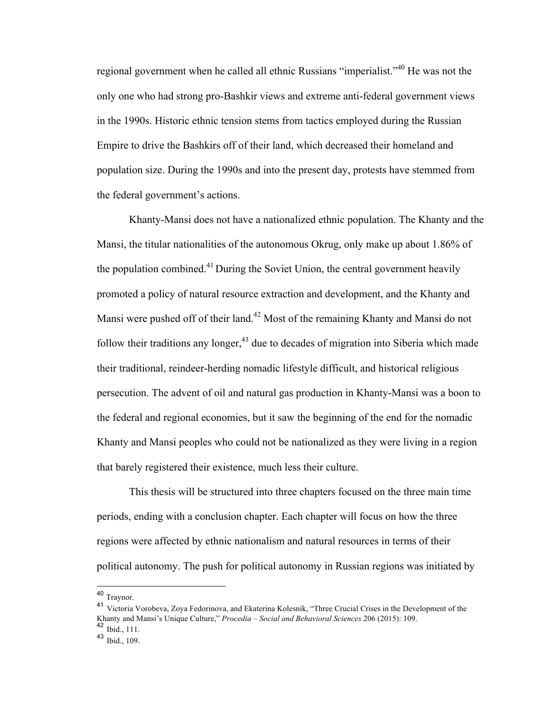regional government when he called all ethnic Russians "imperialist."40 He was not the only one who had strong pro-Bashkir views and extreme anti-federal government views in the 1990s. Historic ethnic tension stems from tactics employed during the Russian Empire to drive the Bashkirs off of their land, which decreased their homeland and population size. During the 1990s and into the present day, protests have stemmed from the federal government's actions.

Khanty-Mansi does not have a nationalized ethnic population. The Khanty and the Mansi, the titular nationalities of the autonomous Okrug, only make up about 1.86% of the population combined.<sup>41</sup> During the Soviet Union, the central government heavily promoted a policy of natural resource extraction and development, and the Khanty and Mansi were pushed off of their land.<sup>42</sup> Most of the remaining Khanty and Mansi do not follow their traditions any longer, $43$  due to decades of migration into Siberia which made their traditional, reindeer-herding nomadic lifestyle difficult, and historical religious persecution. The advent of oil and natural gas production in Khanty-Mansi was a boon to the federal and regional economies, but it saw the beginning of the end for the nomadic Khanty and Mansi peoples who could not be nationalized as they were living in a region that barely registered their existence, much less their culture.

This thesis will be structured into three chapters focused on the three main time periods, ending with a conclusion chapter. Each chapter will focus on how the three regions were affected by ethnic nationalism and natural resources in terms of their political autonomy. The push for political autonomy in Russian regions was initiated by

 <sup>40</sup> Traynor.

<sup>41</sup> Victoria Vorobeva, Zoya Fedorinova, and Ekaterina Kolesnik, "Three Crucial Crises in the Development of the Khanty and Mansi's Unique Culture," *Procedia – Social and Behavioral Sciences* 206 (2015): 109.  $42$  Ibid., 111.

<sup>&</sup>lt;sup>43</sup> Ibid., 109.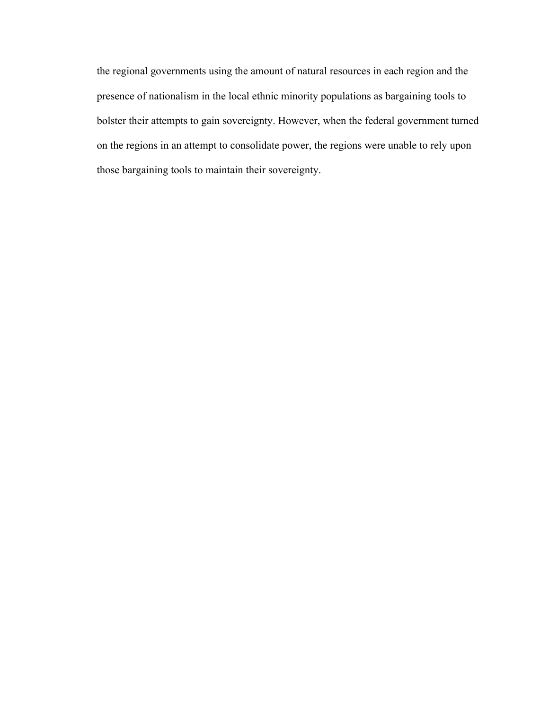the regional governments using the amount of natural resources in each region and the presence of nationalism in the local ethnic minority populations as bargaining tools to bolster their attempts to gain sovereignty. However, when the federal government turned on the regions in an attempt to consolidate power, the regions were unable to rely upon those bargaining tools to maintain their sovereignty.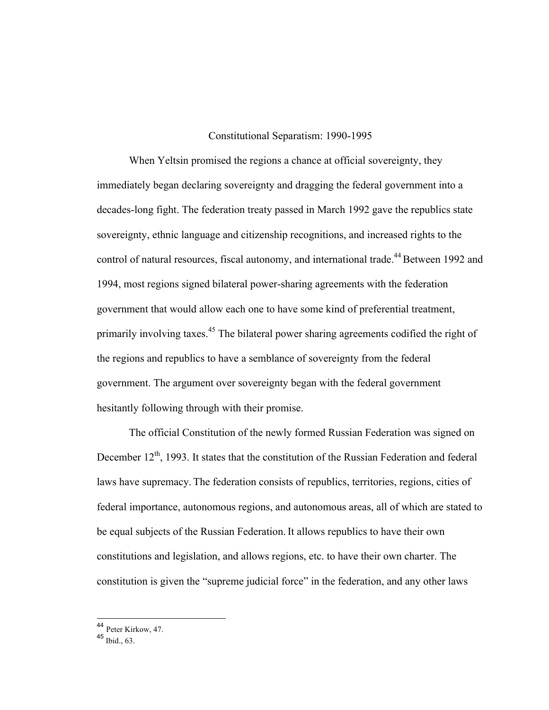#### Constitutional Separatism: 1990-1995

When Yeltsin promised the regions a chance at official sovereignty, they immediately began declaring sovereignty and dragging the federal government into a decades-long fight. The federation treaty passed in March 1992 gave the republics state sovereignty, ethnic language and citizenship recognitions, and increased rights to the control of natural resources, fiscal autonomy, and international trade.<sup>44</sup> Between 1992 and 1994, most regions signed bilateral power-sharing agreements with the federation government that would allow each one to have some kind of preferential treatment, primarily involving taxes.<sup>45</sup> The bilateral power sharing agreements codified the right of the regions and republics to have a semblance of sovereignty from the federal government. The argument over sovereignty began with the federal government hesitantly following through with their promise.

The official Constitution of the newly formed Russian Federation was signed on December  $12<sup>th</sup>$ , 1993. It states that the constitution of the Russian Federation and federal laws have supremacy. The federation consists of republics, territories, regions, cities of federal importance, autonomous regions, and autonomous areas, all of which are stated to be equal subjects of the Russian Federation. It allows republics to have their own constitutions and legislation, and allows regions, etc. to have their own charter. The constitution is given the "supreme judicial force" in the federation, and any other laws

 <sup>44</sup> Peter Kirkow, 47.

 $45$  Ibid., 63.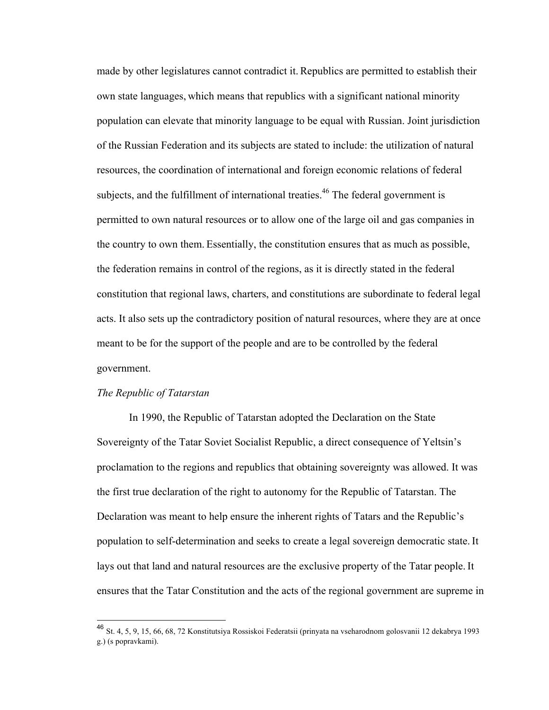made by other legislatures cannot contradict it. Republics are permitted to establish their own state languages, which means that republics with a significant national minority population can elevate that minority language to be equal with Russian. Joint jurisdiction of the Russian Federation and its subjects are stated to include: the utilization of natural resources, the coordination of international and foreign economic relations of federal subjects, and the fulfillment of international treaties.<sup>46</sup> The federal government is permitted to own natural resources or to allow one of the large oil and gas companies in the country to own them. Essentially, the constitution ensures that as much as possible, the federation remains in control of the regions, as it is directly stated in the federal constitution that regional laws, charters, and constitutions are subordinate to federal legal acts. It also sets up the contradictory position of natural resources, where they are at once meant to be for the support of the people and are to be controlled by the federal government.

#### *The Republic of Tatarstan*

In 1990, the Republic of Tatarstan adopted the Declaration on the State Sovereignty of the Tatar Soviet Socialist Republic, a direct consequence of Yeltsin's proclamation to the regions and republics that obtaining sovereignty was allowed. It was the first true declaration of the right to autonomy for the Republic of Tatarstan. The Declaration was meant to help ensure the inherent rights of Tatars and the Republic's population to self-determination and seeks to create a legal sovereign democratic state. It lays out that land and natural resources are the exclusive property of the Tatar people. It ensures that the Tatar Constitution and the acts of the regional government are supreme in

 <sup>46</sup> St. 4, 5, 9, 15, 66, 68, 72 Konstitutsiya Rossiskoi Federatsii (prinyata na vseharodnom golosvanii 12 dekabrya 1993 g.) (s popravkami).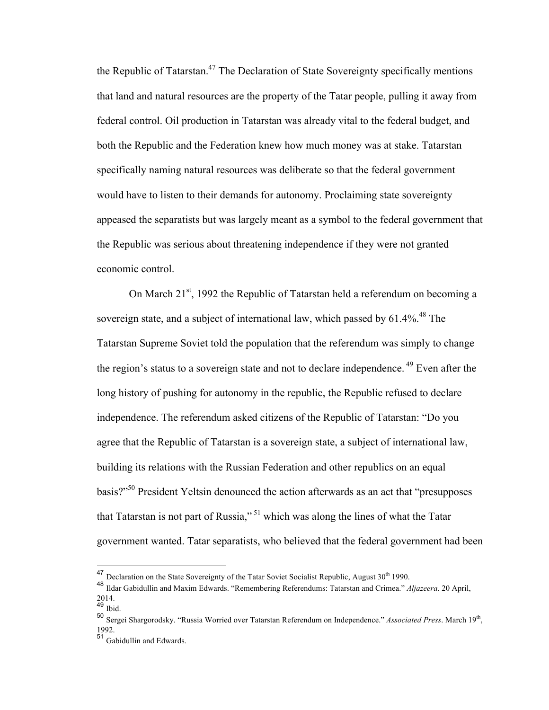the Republic of Tatarstan.<sup>47</sup> The Declaration of State Sovereignty specifically mentions that land and natural resources are the property of the Tatar people, pulling it away from federal control. Oil production in Tatarstan was already vital to the federal budget, and both the Republic and the Federation knew how much money was at stake. Tatarstan specifically naming natural resources was deliberate so that the federal government would have to listen to their demands for autonomy. Proclaiming state sovereignty appeased the separatists but was largely meant as a symbol to the federal government that the Republic was serious about threatening independence if they were not granted economic control.

On March  $21^{st}$ , 1992 the Republic of Tatarstan held a referendum on becoming a sovereign state, and a subject of international law, which passed by  $61.4\%$ .<sup>48</sup> The Tatarstan Supreme Soviet told the population that the referendum was simply to change the region's status to a sovereign state and not to declare independence. <sup>49</sup> Even after the long history of pushing for autonomy in the republic, the Republic refused to declare independence. The referendum asked citizens of the Republic of Tatarstan: "Do you agree that the Republic of Tatarstan is a sovereign state, a subject of international law, building its relations with the Russian Federation and other republics on an equal basis?"<sup>50</sup> President Yeltsin denounced the action afterwards as an act that "presupposes" that Tatarstan is not part of Russia,"<sup>51</sup> which was along the lines of what the Tatar government wanted. Tatar separatists, who believed that the federal government had been

<sup>&</sup>lt;sup>47</sup> Declaration on the State Sovereignty of the Tatar Soviet Socialist Republic, August 30<sup>th</sup> 1990.

<sup>48</sup> Ildar Gabidullin and Maxim Edwards. "Remembering Referendums: Tatarstan and Crimea." *Aljazeera*. 20 April, 2014.

<sup>49</sup> Ibid.

<sup>50</sup> Sergei Shargorodsky. "Russia Worried over Tatarstan Referendum on Independence." *Associated Press*. March 19<sup>th</sup>, 1992.

 $\frac{51}{2}$  Gabidullin and Edwards.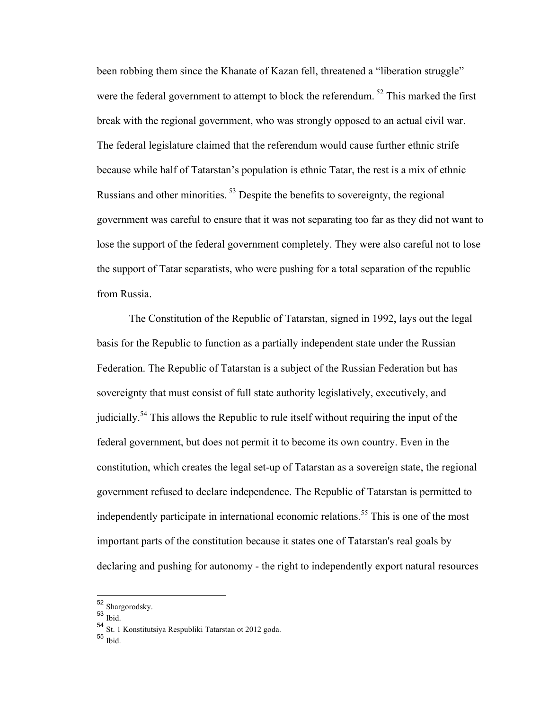been robbing them since the Khanate of Kazan fell, threatened a "liberation struggle" were the federal government to attempt to block the referendum.<sup>52</sup> This marked the first break with the regional government, who was strongly opposed to an actual civil war. The federal legislature claimed that the referendum would cause further ethnic strife because while half of Tatarstan's population is ethnic Tatar, the rest is a mix of ethnic Russians and other minorities. <sup>53</sup> Despite the benefits to sovereignty, the regional government was careful to ensure that it was not separating too far as they did not want to lose the support of the federal government completely. They were also careful not to lose the support of Tatar separatists, who were pushing for a total separation of the republic from Russia.

The Constitution of the Republic of Tatarstan, signed in 1992, lays out the legal basis for the Republic to function as a partially independent state under the Russian Federation. The Republic of Tatarstan is a subject of the Russian Federation but has sovereignty that must consist of full state authority legislatively, executively, and judicially.<sup>54</sup> This allows the Republic to rule itself without requiring the input of the federal government, but does not permit it to become its own country. Even in the constitution, which creates the legal set-up of Tatarstan as a sovereign state, the regional government refused to declare independence. The Republic of Tatarstan is permitted to independently participate in international economic relations.<sup>55</sup> This is one of the most important parts of the constitution because it states one of Tatarstan's real goals by declaring and pushing for autonomy - the right to independently export natural resources

 $53$  Ibid.

 <sup>52</sup> Shargorodsky.

<sup>54</sup> St. 1 Konstitutsiya Respubliki Tatarstan ot 2012 goda.

<sup>55</sup> Ibid.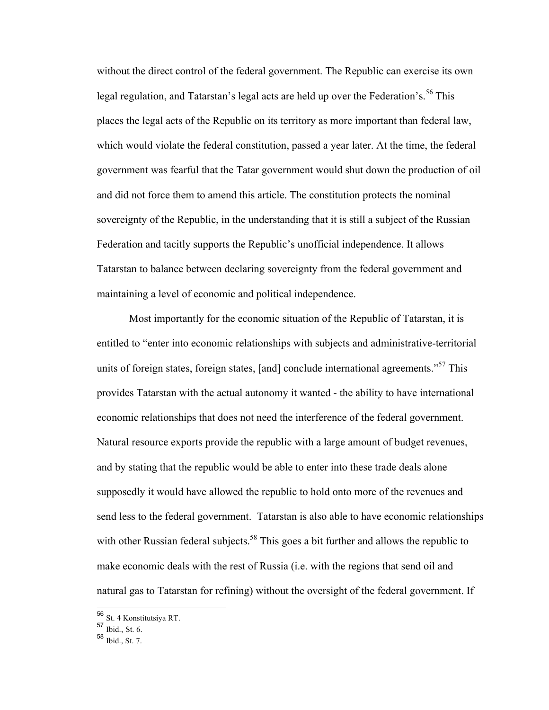without the direct control of the federal government. The Republic can exercise its own legal regulation, and Tatarstan's legal acts are held up over the Federation's.<sup>56</sup> This places the legal acts of the Republic on its territory as more important than federal law, which would violate the federal constitution, passed a year later. At the time, the federal government was fearful that the Tatar government would shut down the production of oil and did not force them to amend this article. The constitution protects the nominal sovereignty of the Republic, in the understanding that it is still a subject of the Russian Federation and tacitly supports the Republic's unofficial independence. It allows Tatarstan to balance between declaring sovereignty from the federal government and maintaining a level of economic and political independence.

Most importantly for the economic situation of the Republic of Tatarstan, it is entitled to "enter into economic relationships with subjects and administrative-territorial units of foreign states, foreign states, [and] conclude international agreements."<sup>57</sup> This provides Tatarstan with the actual autonomy it wanted - the ability to have international economic relationships that does not need the interference of the federal government. Natural resource exports provide the republic with a large amount of budget revenues, and by stating that the republic would be able to enter into these trade deals alone supposedly it would have allowed the republic to hold onto more of the revenues and send less to the federal government. Tatarstan is also able to have economic relationships with other Russian federal subjects.<sup>58</sup> This goes a bit further and allows the republic to make economic deals with the rest of Russia (i.e. with the regions that send oil and natural gas to Tatarstan for refining) without the oversight of the federal government. If

 <sup>56</sup> St. 4 Konstitutsiya RT.

<sup>57</sup> Ibid., St. 6.

 $58$  Ibid., St. 7.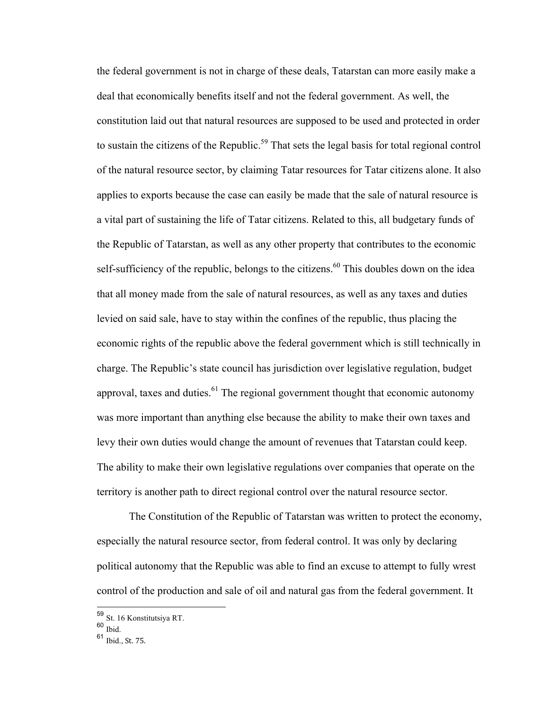the federal government is not in charge of these deals, Tatarstan can more easily make a deal that economically benefits itself and not the federal government. As well, the constitution laid out that natural resources are supposed to be used and protected in order to sustain the citizens of the Republic.<sup>59</sup> That sets the legal basis for total regional control of the natural resource sector, by claiming Tatar resources for Tatar citizens alone. It also applies to exports because the case can easily be made that the sale of natural resource is a vital part of sustaining the life of Tatar citizens. Related to this, all budgetary funds of the Republic of Tatarstan, as well as any other property that contributes to the economic self-sufficiency of the republic, belongs to the citizens.<sup>60</sup> This doubles down on the idea that all money made from the sale of natural resources, as well as any taxes and duties levied on said sale, have to stay within the confines of the republic, thus placing the economic rights of the republic above the federal government which is still technically in charge. The Republic's state council has jurisdiction over legislative regulation, budget approval, taxes and duties. $61$  The regional government thought that economic autonomy was more important than anything else because the ability to make their own taxes and levy their own duties would change the amount of revenues that Tatarstan could keep. The ability to make their own legislative regulations over companies that operate on the territory is another path to direct regional control over the natural resource sector.

The Constitution of the Republic of Tatarstan was written to protect the economy, especially the natural resource sector, from federal control. It was only by declaring political autonomy that the Republic was able to find an excuse to attempt to fully wrest control of the production and sale of oil and natural gas from the federal government. It

 <sup>59</sup> St. 16 Konstitutsiya RT.

 $60$  Ibid.

<sup>61</sup> Ibid., St. 75.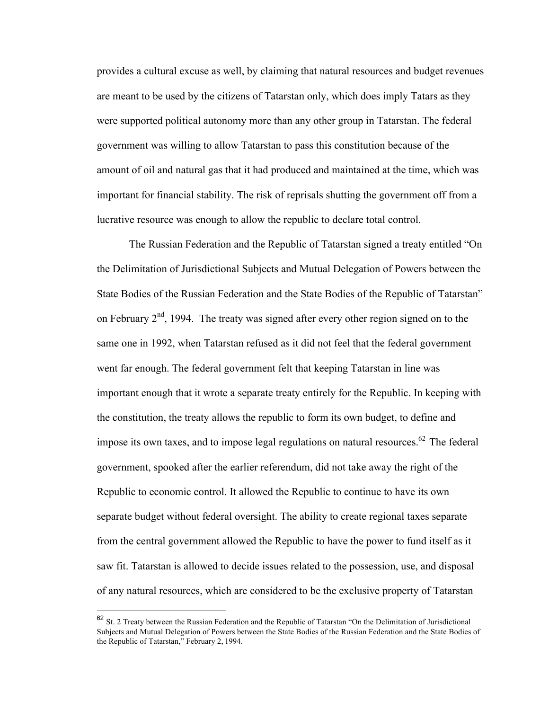provides a cultural excuse as well, by claiming that natural resources and budget revenues are meant to be used by the citizens of Tatarstan only, which does imply Tatars as they were supported political autonomy more than any other group in Tatarstan. The federal government was willing to allow Tatarstan to pass this constitution because of the amount of oil and natural gas that it had produced and maintained at the time, which was important for financial stability. The risk of reprisals shutting the government off from a lucrative resource was enough to allow the republic to declare total control.

The Russian Federation and the Republic of Tatarstan signed a treaty entitled "On the Delimitation of Jurisdictional Subjects and Mutual Delegation of Powers between the State Bodies of the Russian Federation and the State Bodies of the Republic of Tatarstan" on February  $2<sup>nd</sup>$ , 1994. The treaty was signed after every other region signed on to the same one in 1992, when Tatarstan refused as it did not feel that the federal government went far enough. The federal government felt that keeping Tatarstan in line was important enough that it wrote a separate treaty entirely for the Republic. In keeping with the constitution, the treaty allows the republic to form its own budget, to define and impose its own taxes, and to impose legal regulations on natural resources.<sup>62</sup> The federal government, spooked after the earlier referendum, did not take away the right of the Republic to economic control. It allowed the Republic to continue to have its own separate budget without federal oversight. The ability to create regional taxes separate from the central government allowed the Republic to have the power to fund itself as it saw fit. Tatarstan is allowed to decide issues related to the possession, use, and disposal of any natural resources, which are considered to be the exclusive property of Tatarstan

 <sup>62</sup> St. 2 Treaty between the Russian Federation and the Republic of Tatarstan "On the Delimitation of Jurisdictional Subjects and Mutual Delegation of Powers between the State Bodies of the Russian Federation and the State Bodies of the Republic of Tatarstan," February 2, 1994.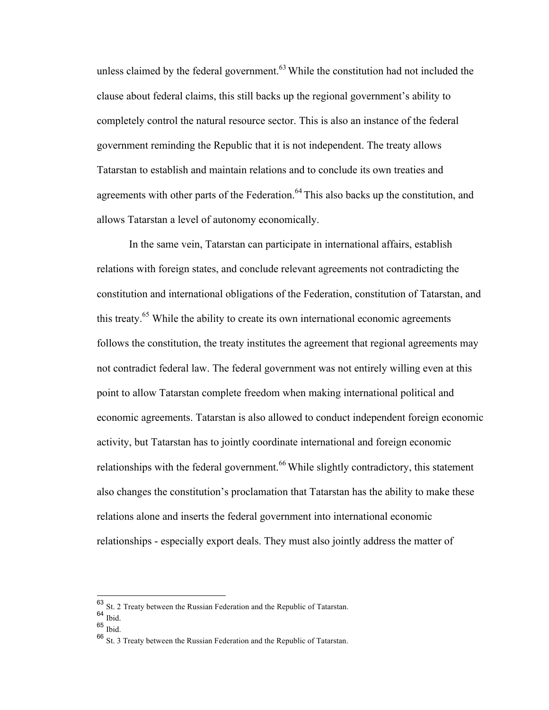unless claimed by the federal government. $63$  While the constitution had not included the clause about federal claims, this still backs up the regional government's ability to completely control the natural resource sector. This is also an instance of the federal government reminding the Republic that it is not independent. The treaty allows Tatarstan to establish and maintain relations and to conclude its own treaties and agreements with other parts of the Federation.<sup>64</sup> This also backs up the constitution, and allows Tatarstan a level of autonomy economically.

In the same vein, Tatarstan can participate in international affairs, establish relations with foreign states, and conclude relevant agreements not contradicting the constitution and international obligations of the Federation, constitution of Tatarstan, and this treaty.<sup>65</sup> While the ability to create its own international economic agreements follows the constitution, the treaty institutes the agreement that regional agreements may not contradict federal law. The federal government was not entirely willing even at this point to allow Tatarstan complete freedom when making international political and economic agreements. Tatarstan is also allowed to conduct independent foreign economic activity, but Tatarstan has to jointly coordinate international and foreign economic relationships with the federal government.<sup>66</sup> While slightly contradictory, this statement also changes the constitution's proclamation that Tatarstan has the ability to make these relations alone and inserts the federal government into international economic relationships - especially export deals. They must also jointly address the matter of

 <sup>63</sup> St. 2 Treaty between the Russian Federation and the Republic of Tatarstan.

 $64$  Ibid.

 $65$  Ibid.

<sup>66</sup> St. 3 Treaty between the Russian Federation and the Republic of Tatarstan.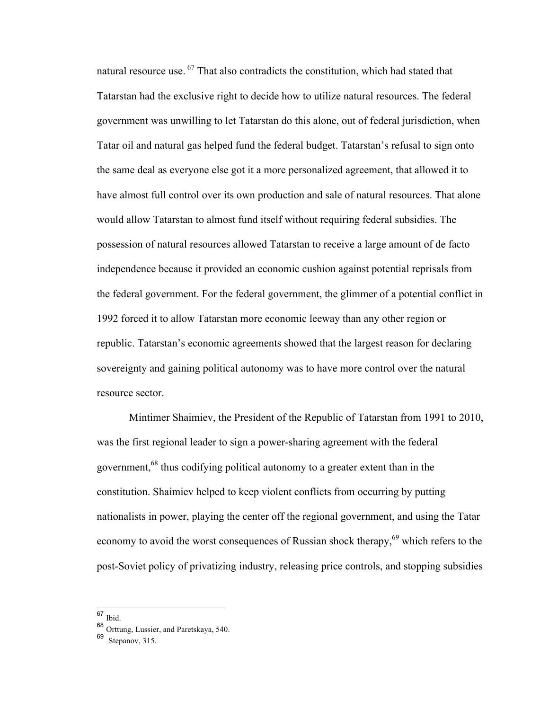natural resource use. <sup>67</sup> That also contradicts the constitution, which had stated that Tatarstan had the exclusive right to decide how to utilize natural resources. The federal government was unwilling to let Tatarstan do this alone, out of federal jurisdiction, when Tatar oil and natural gas helped fund the federal budget. Tatarstan's refusal to sign onto the same deal as everyone else got it a more personalized agreement, that allowed it to have almost full control over its own production and sale of natural resources. That alone would allow Tatarstan to almost fund itself without requiring federal subsidies. The possession of natural resources allowed Tatarstan to receive a large amount of de facto independence because it provided an economic cushion against potential reprisals from the federal government. For the federal government, the glimmer of a potential conflict in 1992 forced it to allow Tatarstan more economic leeway than any other region or republic. Tatarstan's economic agreements showed that the largest reason for declaring sovereignty and gaining political autonomy was to have more control over the natural resource sector.

Mintimer Shaimiev, the President of the Republic of Tatarstan from 1991 to 2010, was the first regional leader to sign a power-sharing agreement with the federal government,<sup>68</sup> thus codifying political autonomy to a greater extent than in the constitution. Shaimiev helped to keep violent conflicts from occurring by putting nationalists in power, playing the center off the regional government, and using the Tatar economy to avoid the worst consequences of Russian shock therapy,<sup>69</sup> which refers to the post-Soviet policy of privatizing industry, releasing price controls, and stopping subsidies

 <sup>67</sup> Ibid.

<sup>68</sup> Orttung, Lussier, and Paretskaya, 540.

<sup>69</sup> Stepanov, 315.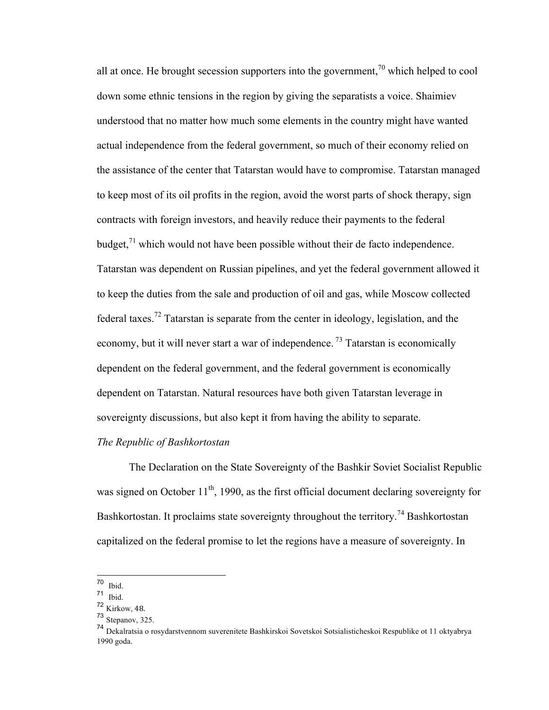all at once. He brought secession supporters into the government,  $\frac{70}{10}$  which helped to cool down some ethnic tensions in the region by giving the separatists a voice. Shaimiev understood that no matter how much some elements in the country might have wanted actual independence from the federal government, so much of their economy relied on the assistance of the center that Tatarstan would have to compromise. Tatarstan managed to keep most of its oil profits in the region, avoid the worst parts of shock therapy, sign contracts with foreign investors, and heavily reduce their payments to the federal budget, $71$  which would not have been possible without their de facto independence. Tatarstan was dependent on Russian pipelines, and yet the federal government allowed it to keep the duties from the sale and production of oil and gas, while Moscow collected federal taxes.<sup>72</sup> Tatarstan is separate from the center in ideology, legislation, and the economy, but it will never start a war of independence.<sup>73</sup> Tatarstan is economically dependent on the federal government, and the federal government is economically dependent on Tatarstan. Natural resources have both given Tatarstan leverage in sovereignty discussions, but also kept it from having the ability to separate.

## *The Republic of Bashkortostan*

The Declaration on the State Sovereignty of the Bashkir Soviet Socialist Republic was signed on October  $11<sup>th</sup>$ , 1990, as the first official document declaring sovereignty for Bashkortostan. It proclaims state sovereignty throughout the territory.<sup>74</sup> Bashkortostan capitalized on the federal promise to let the regions have a measure of sovereignty. In

<sup>70</sup> Ibid.

 $71$  Ibid.

<sup>72</sup> Kirkow, 48.

<sup>73</sup> Stepanov, 325.

<sup>74</sup> Dekalratsia o rosydarstvennom suverenitete Bashkirskoi Sovetskoi Sotsialisticheskoi Respublike ot 11 oktyabrya 1990 goda.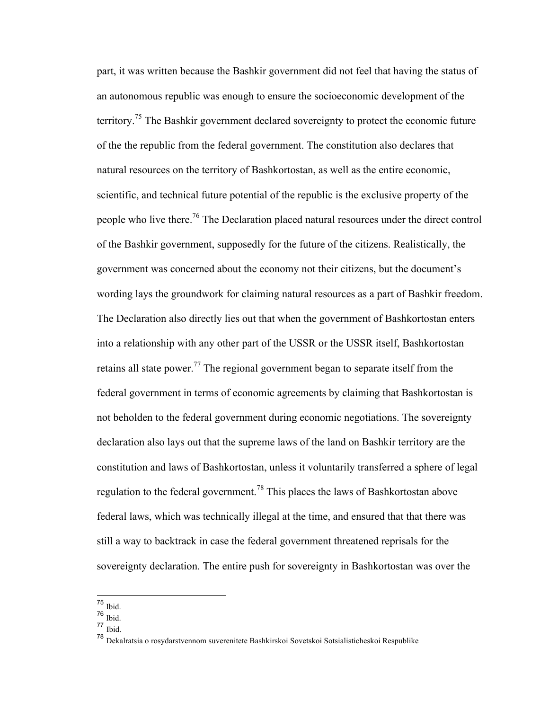part, it was written because the Bashkir government did not feel that having the status of an autonomous republic was enough to ensure the socioeconomic development of the territory.<sup>75</sup> The Bashkir government declared sovereignty to protect the economic future of the the republic from the federal government. The constitution also declares that natural resources on the territory of Bashkortostan, as well as the entire economic, scientific, and technical future potential of the republic is the exclusive property of the people who live there.76 The Declaration placed natural resources under the direct control of the Bashkir government, supposedly for the future of the citizens. Realistically, the government was concerned about the economy not their citizens, but the document's wording lays the groundwork for claiming natural resources as a part of Bashkir freedom. The Declaration also directly lies out that when the government of Bashkortostan enters into a relationship with any other part of the USSR or the USSR itself, Bashkortostan retains all state power.<sup>77</sup> The regional government began to separate itself from the federal government in terms of economic agreements by claiming that Bashkortostan is not beholden to the federal government during economic negotiations. The sovereignty declaration also lays out that the supreme laws of the land on Bashkir territory are the constitution and laws of Bashkortostan, unless it voluntarily transferred a sphere of legal regulation to the federal government.<sup>78</sup> This places the laws of Bashkortostan above federal laws, which was technically illegal at the time, and ensured that that there was still a way to backtrack in case the federal government threatened reprisals for the sovereignty declaration. The entire push for sovereignty in Bashkortostan was over the

 <sup>75</sup> Ibid.

<sup>76</sup> Ibid.

<sup>77</sup> Ibid.

<sup>78</sup> Dekalratsia o rosydarstvennom suverenitete Bashkirskoi Sovetskoi Sotsialisticheskoi Respublike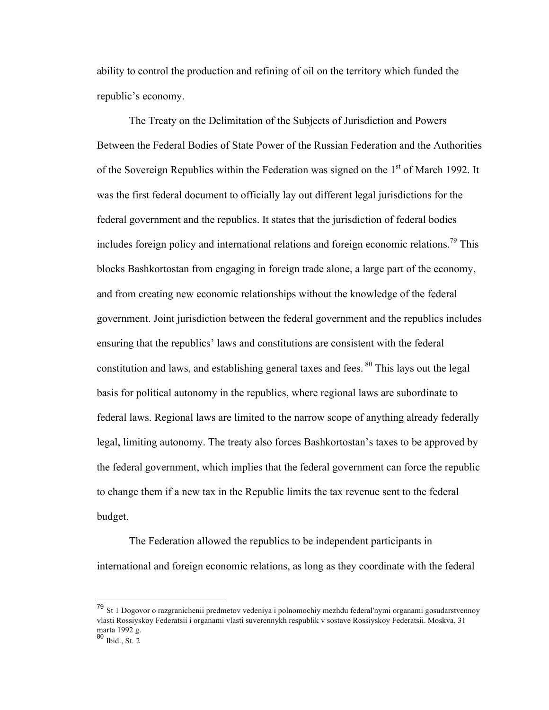ability to control the production and refining of oil on the territory which funded the republic's economy.

The Treaty on the Delimitation of the Subjects of Jurisdiction and Powers Between the Federal Bodies of State Power of the Russian Federation and the Authorities of the Sovereign Republics within the Federation was signed on the 1<sup>st</sup> of March 1992. It was the first federal document to officially lay out different legal jurisdictions for the federal government and the republics. It states that the jurisdiction of federal bodies includes foreign policy and international relations and foreign economic relations.79 This blocks Bashkortostan from engaging in foreign trade alone, a large part of the economy, and from creating new economic relationships without the knowledge of the federal government. Joint jurisdiction between the federal government and the republics includes ensuring that the republics' laws and constitutions are consistent with the federal constitution and laws, and establishing general taxes and fees. <sup>80</sup> This lays out the legal basis for political autonomy in the republics, where regional laws are subordinate to federal laws. Regional laws are limited to the narrow scope of anything already federally legal, limiting autonomy. The treaty also forces Bashkortostan's taxes to be approved by the federal government, which implies that the federal government can force the republic to change them if a new tax in the Republic limits the tax revenue sent to the federal budget.

The Federation allowed the republics to be independent participants in international and foreign economic relations, as long as they coordinate with the federal

 <sup>79</sup> St 1 Dogovor o razgranichenii predmetov vedeniya i polnomochiy mezhdu federal'nymi organami gosudarstvennoy vlasti Rossiyskoy Federatsii i organami vlasti suverennykh respublik v sostave Rossiyskoy Federatsii. Moskva, 31 marta 1992 g.

 $80$  Ibid., St. 2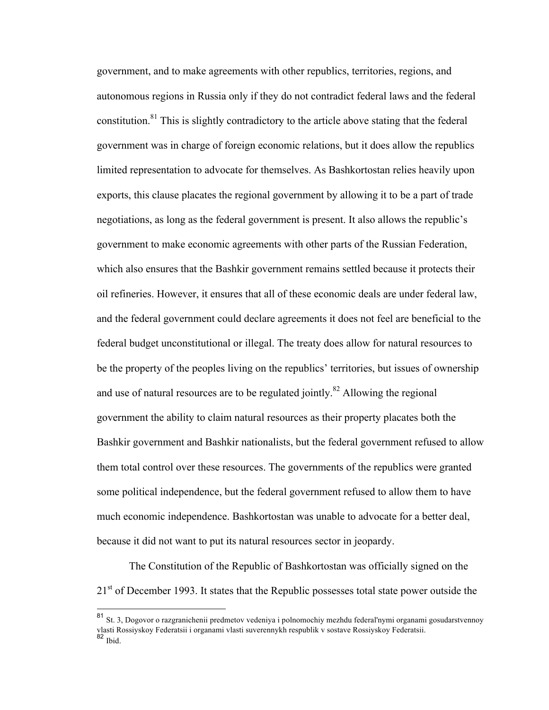government, and to make agreements with other republics, territories, regions, and autonomous regions in Russia only if they do not contradict federal laws and the federal constitution.<sup>81</sup> This is slightly contradictory to the article above stating that the federal government was in charge of foreign economic relations, but it does allow the republics limited representation to advocate for themselves. As Bashkortostan relies heavily upon exports, this clause placates the regional government by allowing it to be a part of trade negotiations, as long as the federal government is present. It also allows the republic's government to make economic agreements with other parts of the Russian Federation, which also ensures that the Bashkir government remains settled because it protects their oil refineries. However, it ensures that all of these economic deals are under federal law, and the federal government could declare agreements it does not feel are beneficial to the federal budget unconstitutional or illegal. The treaty does allow for natural resources to be the property of the peoples living on the republics' territories, but issues of ownership and use of natural resources are to be regulated jointly.<sup>82</sup> Allowing the regional government the ability to claim natural resources as their property placates both the Bashkir government and Bashkir nationalists, but the federal government refused to allow them total control over these resources. The governments of the republics were granted some political independence, but the federal government refused to allow them to have much economic independence. Bashkortostan was unable to advocate for a better deal, because it did not want to put its natural resources sector in jeopardy.

The Constitution of the Republic of Bashkortostan was officially signed on the  $21<sup>st</sup>$  of December 1993. It states that the Republic possesses total state power outside the

 <sup>81</sup> St. 3, Dogovor o razgranichenii predmetov vedeniya i polnomochiy mezhdu federal'nymi organami gosudarstvennoy vlasti Rossiyskoy Federatsii i organami vlasti suverennykh respublik v sostave Rossiyskoy Federatsii. <sup>82</sup> Ibid.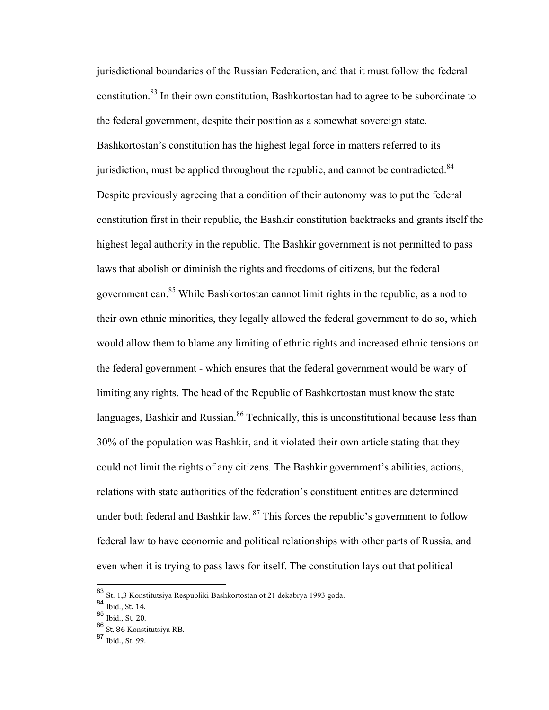jurisdictional boundaries of the Russian Federation, and that it must follow the federal constitution.<sup>83</sup> In their own constitution, Bashkortostan had to agree to be subordinate to the federal government, despite their position as a somewhat sovereign state. Bashkortostan's constitution has the highest legal force in matters referred to its jurisdiction, must be applied throughout the republic, and cannot be contradicted.<sup>84</sup> Despite previously agreeing that a condition of their autonomy was to put the federal constitution first in their republic, the Bashkir constitution backtracks and grants itself the highest legal authority in the republic. The Bashkir government is not permitted to pass laws that abolish or diminish the rights and freedoms of citizens, but the federal government can.85 While Bashkortostan cannot limit rights in the republic, as a nod to their own ethnic minorities, they legally allowed the federal government to do so, which would allow them to blame any limiting of ethnic rights and increased ethnic tensions on the federal government - which ensures that the federal government would be wary of limiting any rights. The head of the Republic of Bashkortostan must know the state languages, Bashkir and Russian.<sup>86</sup> Technically, this is unconstitutional because less than 30% of the population was Bashkir, and it violated their own article stating that they could not limit the rights of any citizens. The Bashkir government's abilities, actions, relations with state authorities of the federation's constituent entities are determined under both federal and Bashkir law.  $87$  This forces the republic's government to follow federal law to have economic and political relationships with other parts of Russia, and even when it is trying to pass laws for itself. The constitution lays out that political

 <sup>83</sup> St. 1,3 Konstitutsiya Respubliki Bashkortostan ot 21 dekabrya 1993 goda.

 $84 \overline{\text{Ibid., St. 14}}$ .

 $85$  Ibid., St. 20.

<sup>86</sup> St. 86 Konstitutsiya RB.

<sup>87</sup> Ibid., St. 99.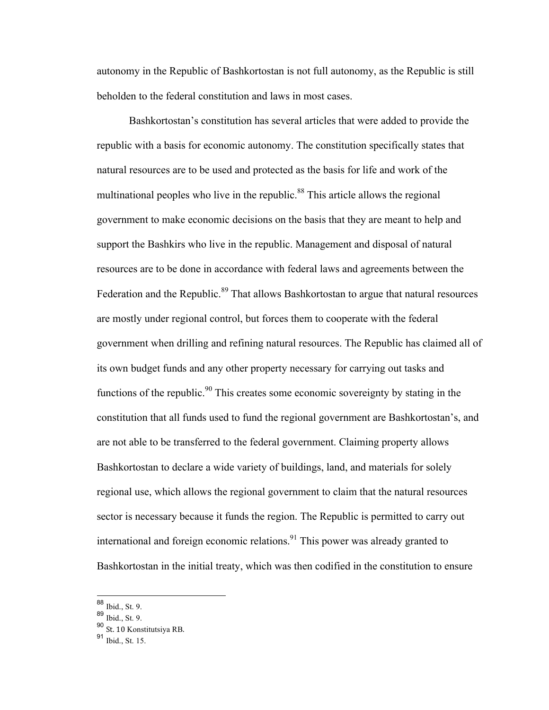autonomy in the Republic of Bashkortostan is not full autonomy, as the Republic is still beholden to the federal constitution and laws in most cases.

Bashkortostan's constitution has several articles that were added to provide the republic with a basis for economic autonomy. The constitution specifically states that natural resources are to be used and protected as the basis for life and work of the multinational peoples who live in the republic.<sup>88</sup> This article allows the regional government to make economic decisions on the basis that they are meant to help and support the Bashkirs who live in the republic. Management and disposal of natural resources are to be done in accordance with federal laws and agreements between the Federation and the Republic.<sup>89</sup> That allows Bashkortostan to argue that natural resources are mostly under regional control, but forces them to cooperate with the federal government when drilling and refining natural resources. The Republic has claimed all of its own budget funds and any other property necessary for carrying out tasks and functions of the republic.<sup>90</sup> This creates some economic sovereignty by stating in the constitution that all funds used to fund the regional government are Bashkortostan's, and are not able to be transferred to the federal government. Claiming property allows Bashkortostan to declare a wide variety of buildings, land, and materials for solely regional use, which allows the regional government to claim that the natural resources sector is necessary because it funds the region. The Republic is permitted to carry out international and foreign economic relations.<sup>91</sup> This power was already granted to Bashkortostan in the initial treaty, which was then codified in the constitution to ensure

 <sup>88</sup> Ibid., St. 9.

<sup>89</sup> Ibid., St. 9.

<sup>90</sup> St. 10 Konstitutsiya RB.

<sup>91</sup> Ibid., St. 15.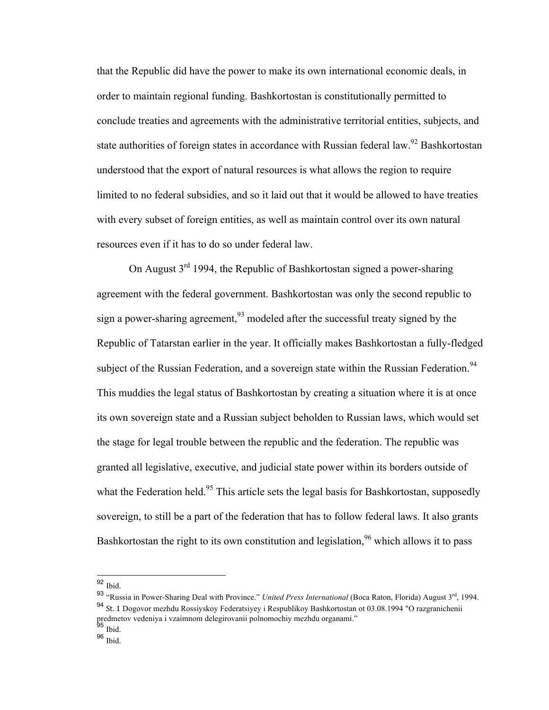that the Republic did have the power to make its own international economic deals, in order to maintain regional funding. Bashkortostan is constitutionally permitted to conclude treaties and agreements with the administrative territorial entities, subjects, and state authorities of foreign states in accordance with Russian federal law.<sup>92</sup> Bashkortostan understood that the export of natural resources is what allows the region to require limited to no federal subsidies, and so it laid out that it would be allowed to have treaties with every subset of foreign entities, as well as maintain control over its own natural resources even if it has to do so under federal law.

On August 3rd 1994, the Republic of Bashkortostan signed a power-sharing agreement with the federal government. Bashkortostan was only the second republic to sign a power-sharing agreement,  $93 \text{ modeled after the successful treaty signed by the}$ Republic of Tatarstan earlier in the year. It officially makes Bashkortostan a fully-fledged subject of the Russian Federation, and a sovereign state within the Russian Federation.<sup>94</sup> This muddies the legal status of Bashkortostan by creating a situation where it is at once its own sovereign state and a Russian subject beholden to Russian laws, which would set the stage for legal trouble between the republic and the federation. The republic was granted all legislative, executive, and judicial state power within its borders outside of what the Federation held.<sup>95</sup> This article sets the legal basis for Bashkortostan, supposedly sovereign, to still be a part of the federation that has to follow federal laws. It also grants Bashkortostan the right to its own constitution and legislation,  $96$  which allows it to pass

 <sup>92</sup> Ibid.

<sup>93 &</sup>quot;Russia in Power-Sharing Deal with Province." *United Press International* (Boca Raton, Florida) August 3<sup>rd</sup>, 1994. 94 St. 1 Dogovor mezhdu Rossiyskoy Federatsiyey i Respublikoy Bashkortostan ot 03.08.1994 "O razgranichenii predmetov vedeniya i vzaimnom delegirovanii polnomochiy mezhdu organami."<br><sup>95</sup> Ibid.

<sup>&</sup>lt;sup>96</sup> Ibid.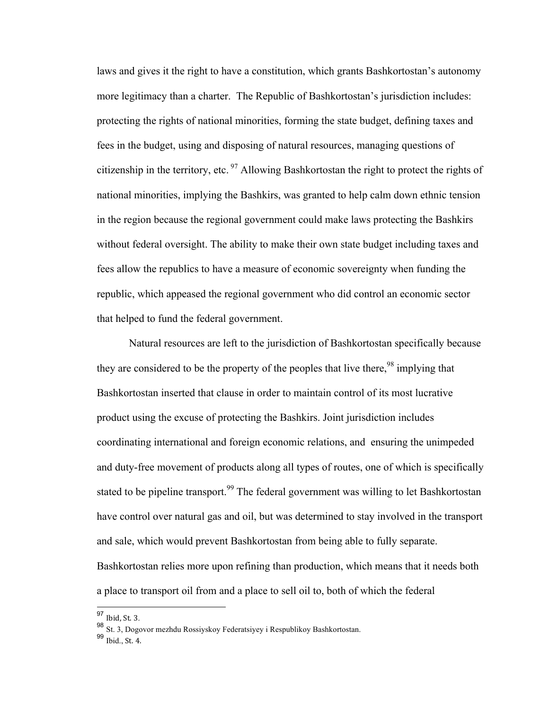laws and gives it the right to have a constitution, which grants Bashkortostan's autonomy more legitimacy than a charter. The Republic of Bashkortostan's jurisdiction includes: protecting the rights of national minorities, forming the state budget, defining taxes and fees in the budget, using and disposing of natural resources, managing questions of citizenship in the territory, etc.  $\frac{97}{9}$  Allowing Bashkortostan the right to protect the rights of national minorities, implying the Bashkirs, was granted to help calm down ethnic tension in the region because the regional government could make laws protecting the Bashkirs without federal oversight. The ability to make their own state budget including taxes and fees allow the republics to have a measure of economic sovereignty when funding the republic, which appeased the regional government who did control an economic sector that helped to fund the federal government.

Natural resources are left to the jurisdiction of Bashkortostan specifically because they are considered to be the property of the peoples that live there,<sup>98</sup> implying that Bashkortostan inserted that clause in order to maintain control of its most lucrative product using the excuse of protecting the Bashkirs. Joint jurisdiction includes coordinating international and foreign economic relations, and ensuring the unimpeded and duty-free movement of products along all types of routes, one of which is specifically stated to be pipeline transport.<sup>99</sup> The federal government was willing to let Bashkortostan have control over natural gas and oil, but was determined to stay involved in the transport and sale, which would prevent Bashkortostan from being able to fully separate. Bashkortostan relies more upon refining than production, which means that it needs both a place to transport oil from and a place to sell oil to, both of which the federal

 $97$  Ibid, St. 3.

<sup>98</sup> St. 3, Dogovor mezhdu Rossiyskoy Federatsiyey i Respublikoy Bashkortostan.

 $99$  Ibid., St. 4.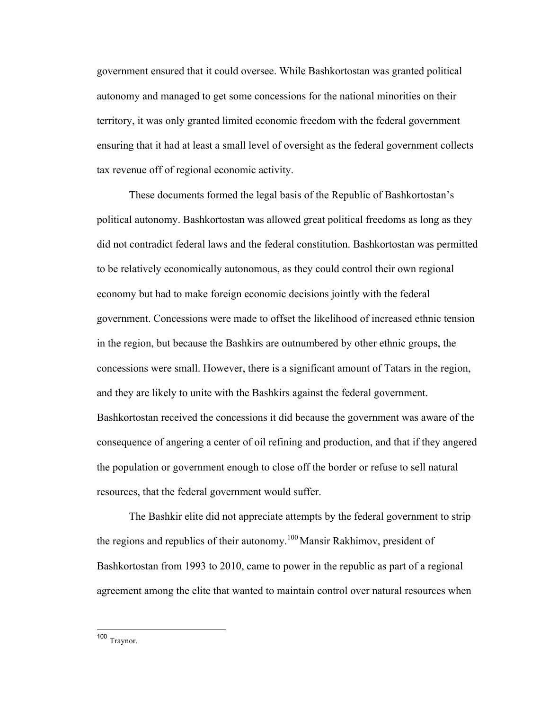government ensured that it could oversee. While Bashkortostan was granted political autonomy and managed to get some concessions for the national minorities on their territory, it was only granted limited economic freedom with the federal government ensuring that it had at least a small level of oversight as the federal government collects tax revenue off of regional economic activity.

These documents formed the legal basis of the Republic of Bashkortostan's political autonomy. Bashkortostan was allowed great political freedoms as long as they did not contradict federal laws and the federal constitution. Bashkortostan was permitted to be relatively economically autonomous, as they could control their own regional economy but had to make foreign economic decisions jointly with the federal government. Concessions were made to offset the likelihood of increased ethnic tension in the region, but because the Bashkirs are outnumbered by other ethnic groups, the concessions were small. However, there is a significant amount of Tatars in the region, and they are likely to unite with the Bashkirs against the federal government. Bashkortostan received the concessions it did because the government was aware of the consequence of angering a center of oil refining and production, and that if they angered the population or government enough to close off the border or refuse to sell natural resources, that the federal government would suffer.

The Bashkir elite did not appreciate attempts by the federal government to strip the regions and republics of their autonomy.<sup>100</sup> Mansir Rakhimov, president of Bashkortostan from 1993 to 2010, came to power in the republic as part of a regional agreement among the elite that wanted to maintain control over natural resources when

100 Traynor.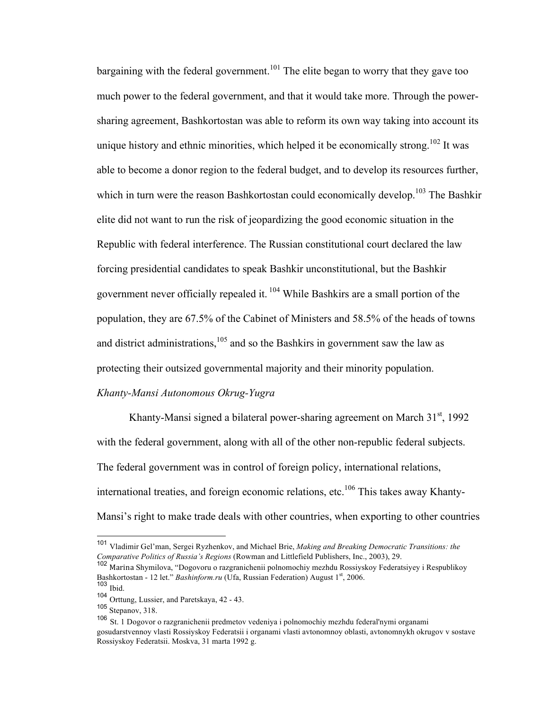bargaining with the federal government.<sup>101</sup> The elite began to worry that they gave too much power to the federal government, and that it would take more. Through the powersharing agreement, Bashkortostan was able to reform its own way taking into account its unique history and ethnic minorities, which helped it be economically strong.<sup>102</sup> It was able to become a donor region to the federal budget, and to develop its resources further, which in turn were the reason Bashkortostan could economically develop.<sup>103</sup> The Bashkir elite did not want to run the risk of jeopardizing the good economic situation in the Republic with federal interference. The Russian constitutional court declared the law forcing presidential candidates to speak Bashkir unconstitutional, but the Bashkir government never officially repealed it. <sup>104</sup> While Bashkirs are a small portion of the population, they are 67.5% of the Cabinet of Ministers and 58.5% of the heads of towns and district administrations, $105$  and so the Bashkirs in government saw the law as protecting their outsized governmental majority and their minority population.

# *Khanty-Mansi Autonomous Okrug-Yugra*

Khanty-Mansi signed a bilateral power-sharing agreement on March  $31<sup>st</sup>$ , 1992 with the federal government, along with all of the other non-republic federal subjects. The federal government was in control of foreign policy, international relations, international treaties, and foreign economic relations, etc.<sup>106</sup> This takes away Khanty-Mansi's right to make trade deals with other countries, when exporting to other countries

 <sup>101</sup> Vladimir Gel'man, Sergei Ryzhenkov, and Michael Brie, *Making and Breaking Democratic Transitions: the Comparative Politics of Russia's Regions* (Rowman and Littlefield Publishers, Inc., 2003), 29.

<sup>102</sup> Marina Shymilova, "Dogovoru o razgranichenii polnomochiy mezhdu Rossiyskoy Federatsiyey i Respublikoy Bashkortostan - 12 let." *Bashinform.ru* (Ufa, Russian Federation) August 1<sup>st</sup>, 2006.

<sup>103</sup> Ibid.

<sup>104</sup> Orttung, Lussier, and Paretskaya, 42 - 43.

<sup>105</sup> Stepanov, 318.

<sup>106</sup> St. 1 Dogovor o razgranichenii predmetov vedeniya i polnomochiy mezhdu federal'nymi organami gosudarstvennoy vlasti Rossiyskoy Federatsii i organami vlasti avtonomnoy oblasti, avtonomnykh okrugov v sostave Rossiyskoy Federatsii. Moskva, 31 marta 1992 g.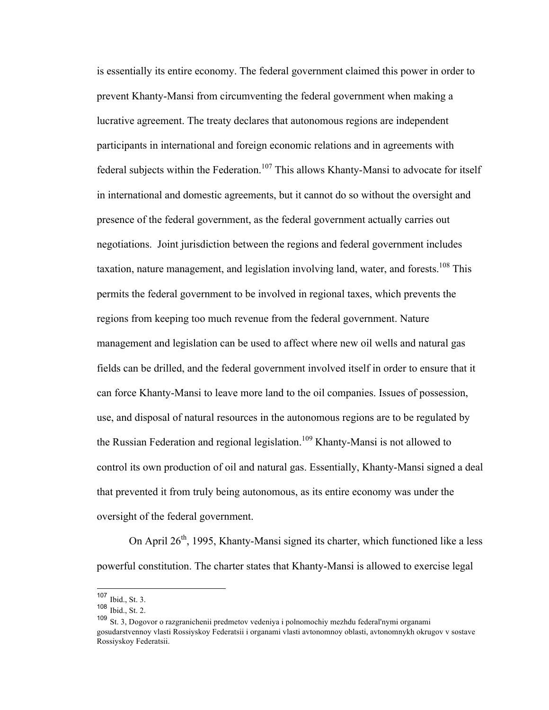is essentially its entire economy. The federal government claimed this power in order to prevent Khanty-Mansi from circumventing the federal government when making a lucrative agreement. The treaty declares that autonomous regions are independent participants in international and foreign economic relations and in agreements with federal subjects within the Federation.<sup>107</sup> This allows Khanty-Mansi to advocate for itself in international and domestic agreements, but it cannot do so without the oversight and presence of the federal government, as the federal government actually carries out negotiations. Joint jurisdiction between the regions and federal government includes taxation, nature management, and legislation involving land, water, and forests.<sup>108</sup> This permits the federal government to be involved in regional taxes, which prevents the regions from keeping too much revenue from the federal government. Nature management and legislation can be used to affect where new oil wells and natural gas fields can be drilled, and the federal government involved itself in order to ensure that it can force Khanty-Mansi to leave more land to the oil companies. Issues of possession, use, and disposal of natural resources in the autonomous regions are to be regulated by the Russian Federation and regional legislation.<sup>109</sup> Khanty-Mansi is not allowed to control its own production of oil and natural gas. Essentially, Khanty-Mansi signed a deal that prevented it from truly being autonomous, as its entire economy was under the oversight of the federal government.

On April  $26<sup>th</sup>$ , 1995, Khanty-Mansi signed its charter, which functioned like a less powerful constitution. The charter states that Khanty-Mansi is allowed to exercise legal

 <sup>107</sup> Ibid., St. 3.

<sup>108</sup> Ibid., St. 2.

<sup>109</sup> St. 3, Dogovor o razgranichenii predmetov vedeniya i polnomochiy mezhdu federal'nymi organami gosudarstvennoy vlasti Rossiyskoy Federatsii i organami vlasti avtonomnoy oblasti, avtonomnykh okrugov v sostave Rossiyskoy Federatsii.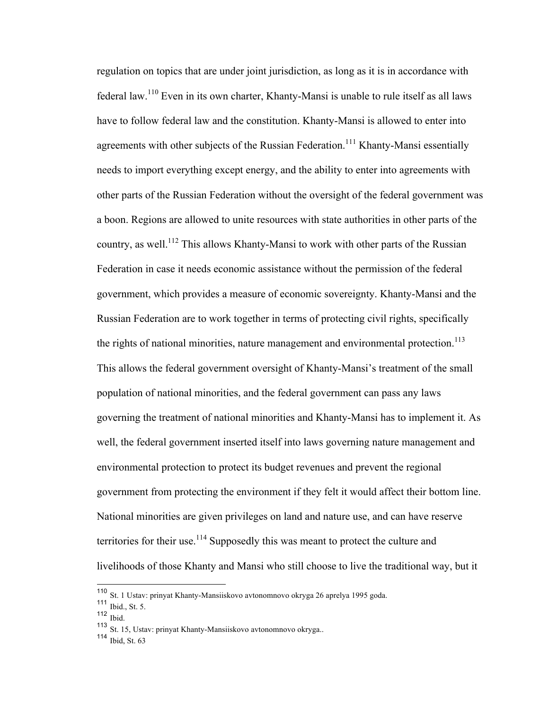regulation on topics that are under joint jurisdiction, as long as it is in accordance with federal law.<sup>110</sup> Even in its own charter, Khanty-Mansi is unable to rule itself as all laws have to follow federal law and the constitution. Khanty-Mansi is allowed to enter into agreements with other subjects of the Russian Federation.<sup>111</sup> Khanty-Mansi essentially needs to import everything except energy, and the ability to enter into agreements with other parts of the Russian Federation without the oversight of the federal government was a boon. Regions are allowed to unite resources with state authorities in other parts of the country, as well.<sup>112</sup> This allows Khanty-Mansi to work with other parts of the Russian Federation in case it needs economic assistance without the permission of the federal government, which provides a measure of economic sovereignty. Khanty-Mansi and the Russian Federation are to work together in terms of protecting civil rights, specifically the rights of national minorities, nature management and environmental protection.<sup>113</sup> This allows the federal government oversight of Khanty-Mansi's treatment of the small population of national minorities, and the federal government can pass any laws governing the treatment of national minorities and Khanty-Mansi has to implement it. As well, the federal government inserted itself into laws governing nature management and environmental protection to protect its budget revenues and prevent the regional government from protecting the environment if they felt it would affect their bottom line. National minorities are given privileges on land and nature use, and can have reserve territories for their use.<sup>114</sup> Supposedly this was meant to protect the culture and livelihoods of those Khanty and Mansi who still choose to live the traditional way, but it

 <sup>110</sup> St. 1 Ustav: prinyat Khanty-Mansiiskovo avtonomnovo okryga 26 aprelya 1995 goda.

<sup>111</sup> Ibid., St. 5.

<sup>112</sup> Ibid.

<sup>113</sup> St. 15, Ustav: prinyat Khanty-Mansiiskovo avtonomnovo okryga..

 $114$  Ibid, St. 63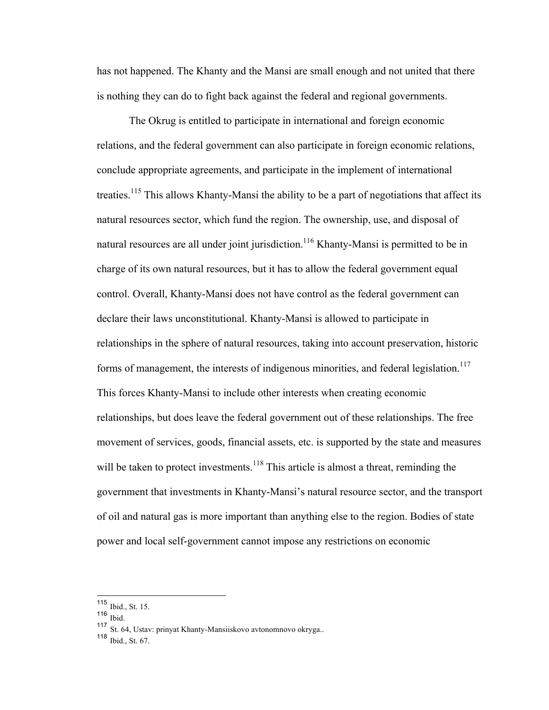has not happened. The Khanty and the Mansi are small enough and not united that there is nothing they can do to fight back against the federal and regional governments.

The Okrug is entitled to participate in international and foreign economic relations, and the federal government can also participate in foreign economic relations, conclude appropriate agreements, and participate in the implement of international treaties.<sup>115</sup> This allows Khanty-Mansi the ability to be a part of negotiations that affect its natural resources sector, which fund the region. The ownership, use, and disposal of natural resources are all under joint jurisdiction.<sup>116</sup> Khanty-Mansi is permitted to be in charge of its own natural resources, but it has to allow the federal government equal control. Overall, Khanty-Mansi does not have control as the federal government can declare their laws unconstitutional. Khanty-Mansi is allowed to participate in relationships in the sphere of natural resources, taking into account preservation, historic forms of management, the interests of indigenous minorities, and federal legislation.<sup>117</sup> This forces Khanty-Mansi to include other interests when creating economic relationships, but does leave the federal government out of these relationships. The free movement of services, goods, financial assets, etc. is supported by the state and measures will be taken to protect investments.<sup>118</sup> This article is almost a threat, reminding the government that investments in Khanty-Mansi's natural resource sector, and the transport of oil and natural gas is more important than anything else to the region. Bodies of state power and local self-government cannot impose any restrictions on economic

 <sup>115</sup> Ibid., St. 15.

<sup>116</sup>  $\overline{\text{Ibid}}$ .

<sup>117</sup> St. 64, Ustav: prinyat Khanty-Mansiiskovo avtonomnovo okryga..

<sup>118</sup> Ibid., St. 67.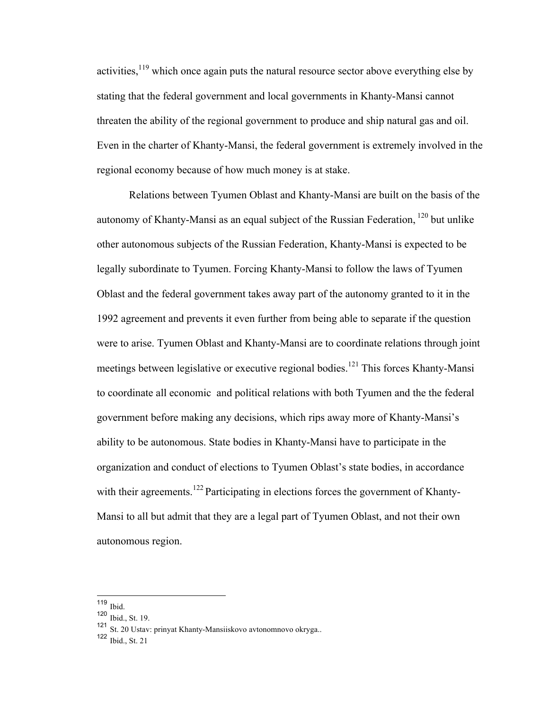activities,  $119$  which once again puts the natural resource sector above everything else by stating that the federal government and local governments in Khanty-Mansi cannot threaten the ability of the regional government to produce and ship natural gas and oil. Even in the charter of Khanty-Mansi, the federal government is extremely involved in the regional economy because of how much money is at stake.

Relations between Tyumen Oblast and Khanty-Mansi are built on the basis of the autonomy of Khanty-Mansi as an equal subject of the Russian Federation, <sup>120</sup> but unlike other autonomous subjects of the Russian Federation, Khanty-Mansi is expected to be legally subordinate to Tyumen. Forcing Khanty-Mansi to follow the laws of Tyumen Oblast and the federal government takes away part of the autonomy granted to it in the 1992 agreement and prevents it even further from being able to separate if the question were to arise. Tyumen Oblast and Khanty-Mansi are to coordinate relations through joint meetings between legislative or executive regional bodies.<sup>121</sup> This forces Khanty-Mansi to coordinate all economic and political relations with both Tyumen and the the federal government before making any decisions, which rips away more of Khanty-Mansi's ability to be autonomous. State bodies in Khanty-Mansi have to participate in the organization and conduct of elections to Tyumen Oblast's state bodies, in accordance with their agreements.<sup>122</sup> Participating in elections forces the government of Khanty-Mansi to all but admit that they are a legal part of Tyumen Oblast, and not their own autonomous region.

122  $\overline{1}$  Ibid., St. 21

 <sup>119</sup> Ibid.

<sup>120</sup> Ibid., St. 19.

<sup>121</sup> St. 20 Ustav: prinyat Khanty-Mansiiskovo avtonomnovo okryga..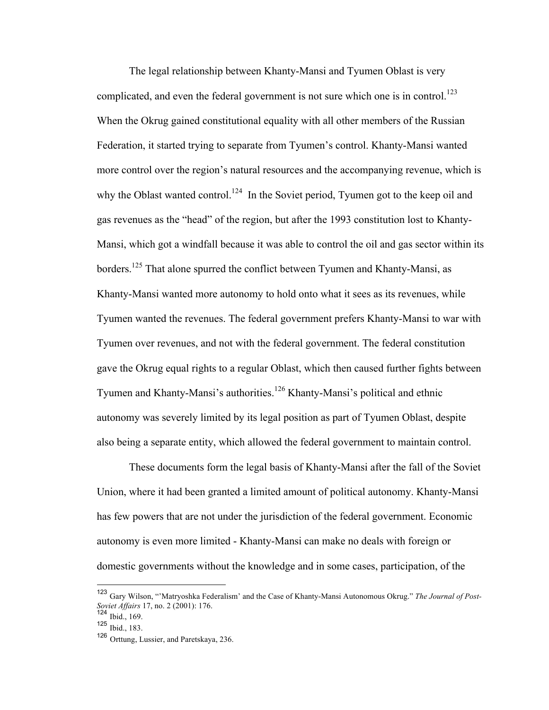The legal relationship between Khanty-Mansi and Tyumen Oblast is very complicated, and even the federal government is not sure which one is in control.<sup>123</sup> When the Okrug gained constitutional equality with all other members of the Russian Federation, it started trying to separate from Tyumen's control. Khanty-Mansi wanted more control over the region's natural resources and the accompanying revenue, which is why the Oblast wanted control.<sup>124</sup> In the Soviet period, Tyumen got to the keep oil and gas revenues as the "head" of the region, but after the 1993 constitution lost to Khanty-Mansi, which got a windfall because it was able to control the oil and gas sector within its borders.<sup>125</sup> That alone spurred the conflict between Tyumen and Khanty-Mansi, as Khanty-Mansi wanted more autonomy to hold onto what it sees as its revenues, while Tyumen wanted the revenues. The federal government prefers Khanty-Mansi to war with Tyumen over revenues, and not with the federal government. The federal constitution gave the Okrug equal rights to a regular Oblast, which then caused further fights between Tyumen and Khanty-Mansi's authorities.<sup>126</sup> Khanty-Mansi's political and ethnic autonomy was severely limited by its legal position as part of Tyumen Oblast, despite also being a separate entity, which allowed the federal government to maintain control.

These documents form the legal basis of Khanty-Mansi after the fall of the Soviet Union, where it had been granted a limited amount of political autonomy. Khanty-Mansi has few powers that are not under the jurisdiction of the federal government. Economic autonomy is even more limited - Khanty-Mansi can make no deals with foreign or domestic governments without the knowledge and in some cases, participation, of the

 <sup>123</sup> Gary Wilson, "'Matryoshka Federalism' and the Case of Khanty-Mansi Autonomous Okrug." *The Journal of Post-Soviet Affairs* 17, no. 2 (2001): 176.

 $124$  Ibid., 169.

<sup>125</sup> Ibid., 183.

<sup>126</sup> Orttung, Lussier, and Paretskaya, 236.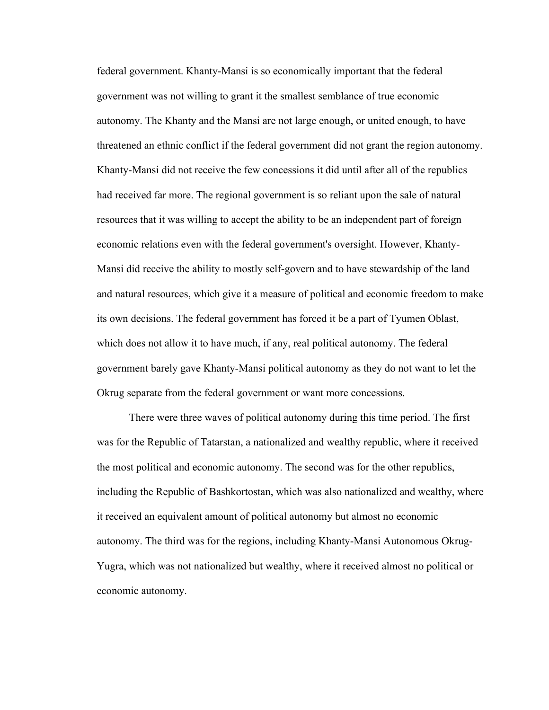federal government. Khanty-Mansi is so economically important that the federal government was not willing to grant it the smallest semblance of true economic autonomy. The Khanty and the Mansi are not large enough, or united enough, to have threatened an ethnic conflict if the federal government did not grant the region autonomy. Khanty-Mansi did not receive the few concessions it did until after all of the republics had received far more. The regional government is so reliant upon the sale of natural resources that it was willing to accept the ability to be an independent part of foreign economic relations even with the federal government's oversight. However, Khanty-Mansi did receive the ability to mostly self-govern and to have stewardship of the land and natural resources, which give it a measure of political and economic freedom to make its own decisions. The federal government has forced it be a part of Tyumen Oblast, which does not allow it to have much, if any, real political autonomy. The federal government barely gave Khanty-Mansi political autonomy as they do not want to let the Okrug separate from the federal government or want more concessions.

There were three waves of political autonomy during this time period. The first was for the Republic of Tatarstan, a nationalized and wealthy republic, where it received the most political and economic autonomy. The second was for the other republics, including the Republic of Bashkortostan, which was also nationalized and wealthy, where it received an equivalent amount of political autonomy but almost no economic autonomy. The third was for the regions, including Khanty-Mansi Autonomous Okrug-Yugra, which was not nationalized but wealthy, where it received almost no political or economic autonomy.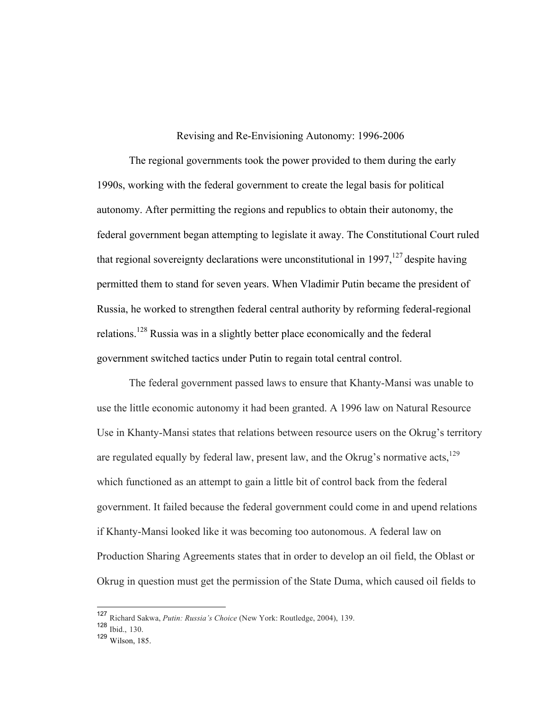Revising and Re-Envisioning Autonomy: 1996-2006

The regional governments took the power provided to them during the early 1990s, working with the federal government to create the legal basis for political autonomy. After permitting the regions and republics to obtain their autonomy, the federal government began attempting to legislate it away. The Constitutional Court ruled that regional sovereignty declarations were unconstitutional in 1997,  $127$  despite having permitted them to stand for seven years. When Vladimir Putin became the president of Russia, he worked to strengthen federal central authority by reforming federal-regional relations.<sup>128</sup> Russia was in a slightly better place economically and the federal government switched tactics under Putin to regain total central control.

The federal government passed laws to ensure that Khanty-Mansi was unable to use the little economic autonomy it had been granted. A 1996 law on Natural Resource Use in Khanty-Mansi states that relations between resource users on the Okrug's territory are regulated equally by federal law, present law, and the Okrug's normative  $acts<sub>129</sub>$ which functioned as an attempt to gain a little bit of control back from the federal government. It failed because the federal government could come in and upend relations if Khanty-Mansi looked like it was becoming too autonomous. A federal law on Production Sharing Agreements states that in order to develop an oil field, the Oblast or Okrug in question must get the permission of the State Duma, which caused oil fields to

 <sup>127</sup> Richard Sakwa, *Putin: Russia's Choice* (New York: Routledge, 2004), 139.

<sup>128</sup> Ibid., 130.

<sup>129</sup> Wilson, 185.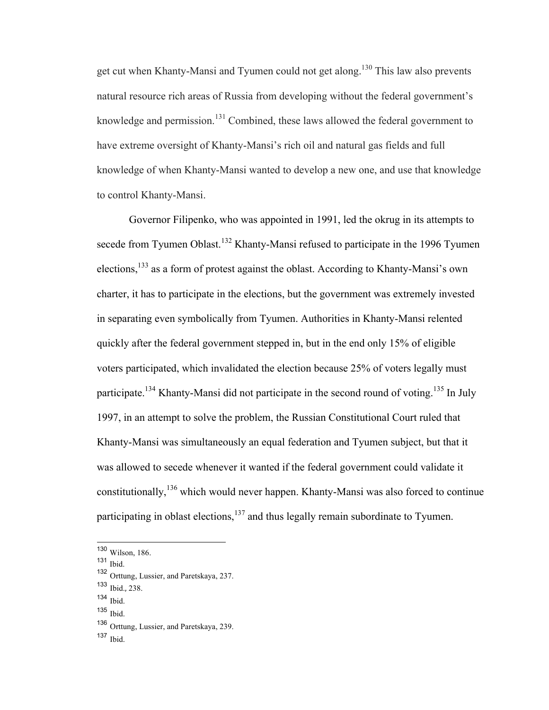get cut when Khanty-Mansi and Tyumen could not get along.<sup>130</sup> This law also prevents natural resource rich areas of Russia from developing without the federal government's knowledge and permission.<sup>131</sup> Combined, these laws allowed the federal government to have extreme oversight of Khanty-Mansi's rich oil and natural gas fields and full knowledge of when Khanty-Mansi wanted to develop a new one, and use that knowledge to control Khanty-Mansi.

Governor Filipenko, who was appointed in 1991, led the okrug in its attempts to secede from Tyumen Oblast.<sup>132</sup> Khanty-Mansi refused to participate in the 1996 Tyumen elections,133 as a form of protest against the oblast. According to Khanty-Mansi's own charter, it has to participate in the elections, but the government was extremely invested in separating even symbolically from Tyumen. Authorities in Khanty-Mansi relented quickly after the federal government stepped in, but in the end only 15% of eligible voters participated, which invalidated the election because 25% of voters legally must participate.<sup>134</sup> Khanty-Mansi did not participate in the second round of voting.<sup>135</sup> In July 1997, in an attempt to solve the problem, the Russian Constitutional Court ruled that Khanty-Mansi was simultaneously an equal federation and Tyumen subject, but that it was allowed to secede whenever it wanted if the federal government could validate it constitutionally,<sup>136</sup> which would never happen. Khanty-Mansi was also forced to continue participating in oblast elections, $137$  and thus legally remain subordinate to Tyumen.

<sup>131</sup> Ibid.

- <sup>133</sup> Ibid., 238.
- $134$  Ibid.
- <sup>135</sup> Ibid.

 $137$  Ibid.

 <sup>130</sup> Wilson, 186.

<sup>132</sup> Orttung, Lussier, and Paretskaya, 237.

<sup>136</sup> Orttung, Lussier, and Paretskaya, 239.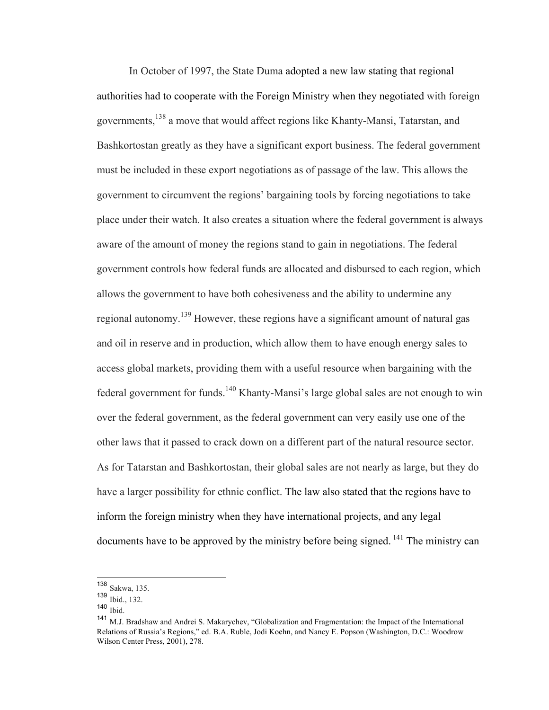In October of 1997, the State Duma adopted a new law stating that regional authorities had to cooperate with the Foreign Ministry when they negotiated with foreign governments,<sup>138</sup> a move that would affect regions like Khanty-Mansi, Tatarstan, and Bashkortostan greatly as they have a significant export business. The federal government must be included in these export negotiations as of passage of the law. This allows the government to circumvent the regions' bargaining tools by forcing negotiations to take place under their watch. It also creates a situation where the federal government is always aware of the amount of money the regions stand to gain in negotiations. The federal government controls how federal funds are allocated and disbursed to each region, which allows the government to have both cohesiveness and the ability to undermine any regional autonomy.<sup>139</sup> However, these regions have a significant amount of natural gas and oil in reserve and in production, which allow them to have enough energy sales to access global markets, providing them with a useful resource when bargaining with the federal government for funds.<sup>140</sup> Khanty-Mansi's large global sales are not enough to win over the federal government, as the federal government can very easily use one of the other laws that it passed to crack down on a different part of the natural resource sector. As for Tatarstan and Bashkortostan, their global sales are not nearly as large, but they do have a larger possibility for ethnic conflict. The law also stated that the regions have to inform the foreign ministry when they have international projects, and any legal documents have to be approved by the ministry before being signed. <sup>141</sup> The ministry can

 <sup>138</sup> Sakwa, 135.

<sup>139</sup> Ibid., 132.

<sup>140</sup> Ibid.

<sup>141</sup> M.J. Bradshaw and Andrei S. Makarychev, "Globalization and Fragmentation: the Impact of the International Relations of Russia's Regions," ed. B.A. Ruble, Jodi Koehn, and Nancy E. Popson (Washington, D.C.: Woodrow Wilson Center Press, 2001), 278.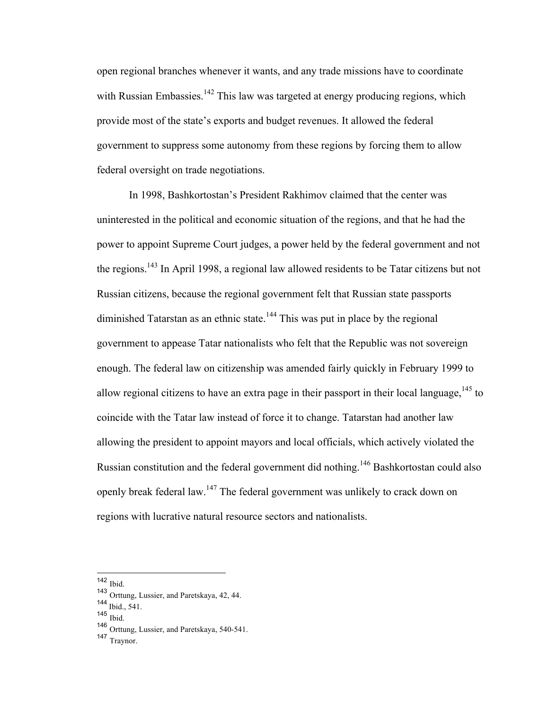open regional branches whenever it wants, and any trade missions have to coordinate with Russian Embassies.<sup>142</sup> This law was targeted at energy producing regions, which provide most of the state's exports and budget revenues. It allowed the federal government to suppress some autonomy from these regions by forcing them to allow federal oversight on trade negotiations.

In 1998, Bashkortostan's President Rakhimov claimed that the center was uninterested in the political and economic situation of the regions, and that he had the power to appoint Supreme Court judges, a power held by the federal government and not the regions.<sup>143</sup> In April 1998, a regional law allowed residents to be Tatar citizens but not Russian citizens, because the regional government felt that Russian state passports diminished Tatarstan as an ethnic state.<sup>144</sup> This was put in place by the regional government to appease Tatar nationalists who felt that the Republic was not sovereign enough. The federal law on citizenship was amended fairly quickly in February 1999 to allow regional citizens to have an extra page in their passport in their local language,  $^{145}$  to coincide with the Tatar law instead of force it to change. Tatarstan had another law allowing the president to appoint mayors and local officials, which actively violated the Russian constitution and the federal government did nothing.<sup>146</sup> Bashkortostan could also openly break federal law.<sup>147</sup> The federal government was unlikely to crack down on regions with lucrative natural resource sectors and nationalists.

 <sup>142</sup> Ibid.

<sup>143</sup> Orttung, Lussier, and Paretskaya, 42, 44.

<sup>144</sup> Ibid., 541.

<sup>145</sup> Ibid.

<sup>146</sup> Orttung, Lussier, and Paretskaya, 540-541.

<sup>147</sup> Traynor.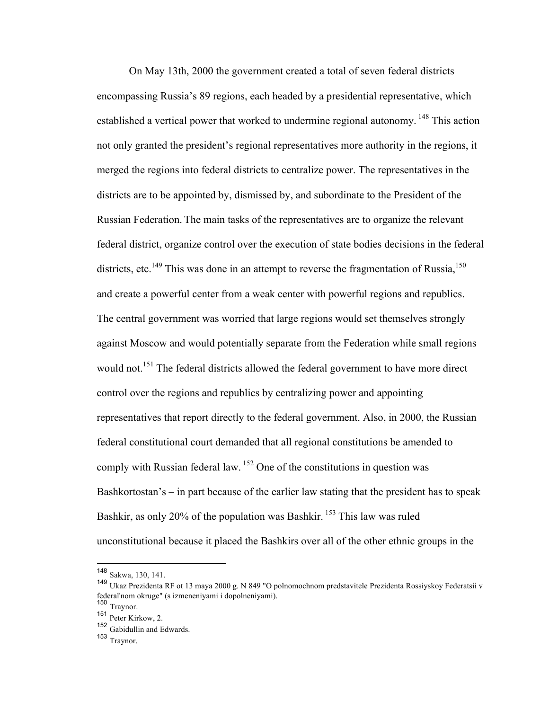On May 13th, 2000 the government created a total of seven federal districts encompassing Russia's 89 regions, each headed by a presidential representative, which established a vertical power that worked to undermine regional autonomy.<sup>148</sup> This action not only granted the president's regional representatives more authority in the regions, it merged the regions into federal districts to centralize power. The representatives in the districts are to be appointed by, dismissed by, and subordinate to the President of the Russian Federation. The main tasks of the representatives are to organize the relevant federal district, organize control over the execution of state bodies decisions in the federal districts, etc.<sup>149</sup> This was done in an attempt to reverse the fragmentation of Russia.<sup>150</sup> and create a powerful center from a weak center with powerful regions and republics. The central government was worried that large regions would set themselves strongly against Moscow and would potentially separate from the Federation while small regions would not.<sup>151</sup> The federal districts allowed the federal government to have more direct control over the regions and republics by centralizing power and appointing representatives that report directly to the federal government. Also, in 2000, the Russian federal constitutional court demanded that all regional constitutions be amended to comply with Russian federal law.  $152$  One of the constitutions in question was Bashkortostan's – in part because of the earlier law stating that the president has to speak Bashkir, as only 20% of the population was Bashkir. <sup>153</sup> This law was ruled unconstitutional because it placed the Bashkirs over all of the other ethnic groups in the

 <sup>148</sup> Sakwa, 130, 141.

<sup>149</sup> Ukaz Prezidenta RF ot 13 maya 2000 g. N 849 "O polnomochnom predstavitele Prezidenta Rossiyskoy Federatsii v federal'nom okruge" (s izmeneniyami i dopolneniyami).

<sup>150</sup> Traynor.

<sup>151</sup> Peter Kirkow, 2.

<sup>152</sup> Gabidullin and Edwards.

<sup>153</sup> Traynor.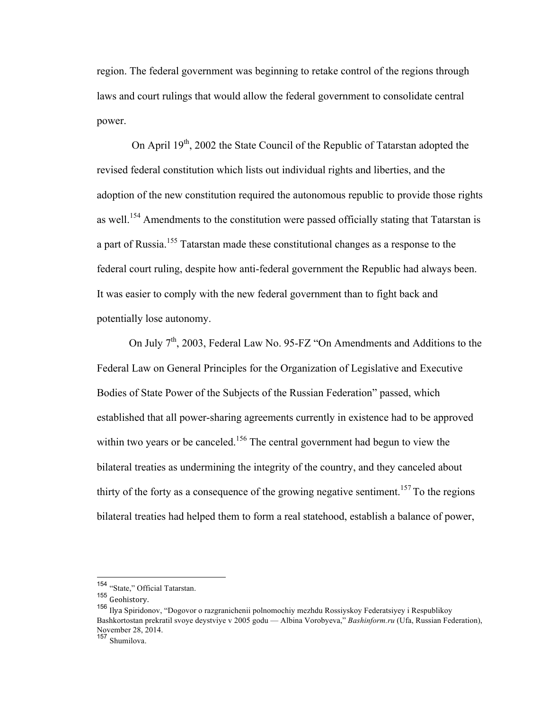region. The federal government was beginning to retake control of the regions through laws and court rulings that would allow the federal government to consolidate central power.

On April  $19<sup>th</sup>$ , 2002 the State Council of the Republic of Tatarstan adopted the revised federal constitution which lists out individual rights and liberties, and the adoption of the new constitution required the autonomous republic to provide those rights as well.<sup>154</sup> Amendments to the constitution were passed officially stating that Tatarstan is a part of Russia.<sup>155</sup> Tatarstan made these constitutional changes as a response to the federal court ruling, despite how anti-federal government the Republic had always been. It was easier to comply with the new federal government than to fight back and potentially lose autonomy.

On July  $7<sup>th</sup>$ , 2003, Federal Law No. 95-FZ "On Amendments and Additions to the Federal Law on General Principles for the Organization of Legislative and Executive Bodies of State Power of the Subjects of the Russian Federation" passed, which established that all power-sharing agreements currently in existence had to be approved within two years or be canceled.<sup>156</sup> The central government had begun to view the bilateral treaties as undermining the integrity of the country, and they canceled about thirty of the forty as a consequence of the growing negative sentiment.<sup>157</sup> To the regions bilateral treaties had helped them to form a real statehood, establish a balance of power,

 <sup>154</sup> "State," Official Tatarstan.

<sup>155</sup> Geohistory.

<sup>156</sup> Ilva Spiridonov, "Dogovor o razgranichenii polnomochiy mezhdu Rossiyskoy Federatsiyey i Respublikoy Bashkortostan prekratil svoye deystviye v 2005 godu — Albina Vorobyeva," *Bashinform.ru* (Ufa, Russian Federation), November 28, 2014.

<sup>157</sup> Shumilova.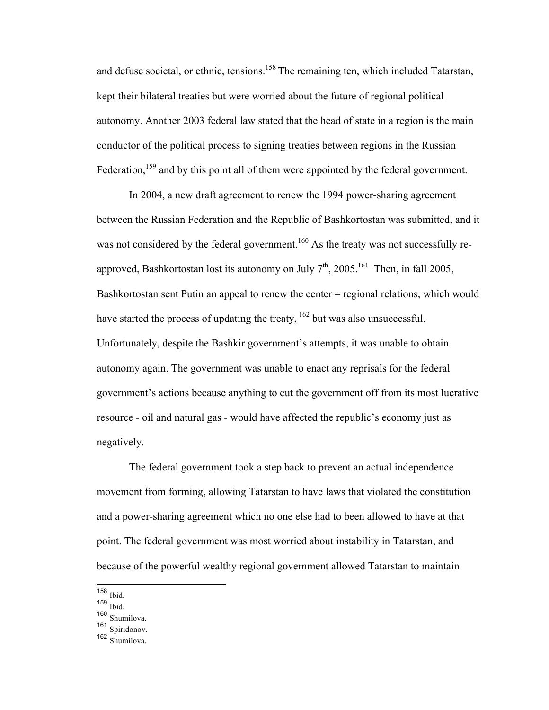and defuse societal, or ethnic, tensions.<sup>158</sup> The remaining ten, which included Tatarstan, kept their bilateral treaties but were worried about the future of regional political autonomy. Another 2003 federal law stated that the head of state in a region is the main conductor of the political process to signing treaties between regions in the Russian Federation,<sup>159</sup> and by this point all of them were appointed by the federal government.

In 2004, a new draft agreement to renew the 1994 power-sharing agreement between the Russian Federation and the Republic of Bashkortostan was submitted, and it was not considered by the federal government.<sup>160</sup> As the treaty was not successfully reapproved, Bashkortostan lost its autonomy on July  $7<sup>th</sup>$ , 2005.<sup>161</sup> Then, in fall 2005, Bashkortostan sent Putin an appeal to renew the center – regional relations, which would have started the process of updating the treaty,  $^{162}$  but was also unsuccessful. Unfortunately, despite the Bashkir government's attempts, it was unable to obtain autonomy again. The government was unable to enact any reprisals for the federal government's actions because anything to cut the government off from its most lucrative resource - oil and natural gas - would have affected the republic's economy just as negatively.

The federal government took a step back to prevent an actual independence movement from forming, allowing Tatarstan to have laws that violated the constitution and a power-sharing agreement which no one else had to been allowed to have at that point. The federal government was most worried about instability in Tatarstan, and because of the powerful wealthy regional government allowed Tatarstan to maintain

 <sup>158</sup> Ibid.

<sup>159</sup> Ibid.

<sup>160</sup> Shumilova.

<sup>161</sup> Spiridonov.

<sup>162</sup>  $\overline{\text{Shumilova}}$ .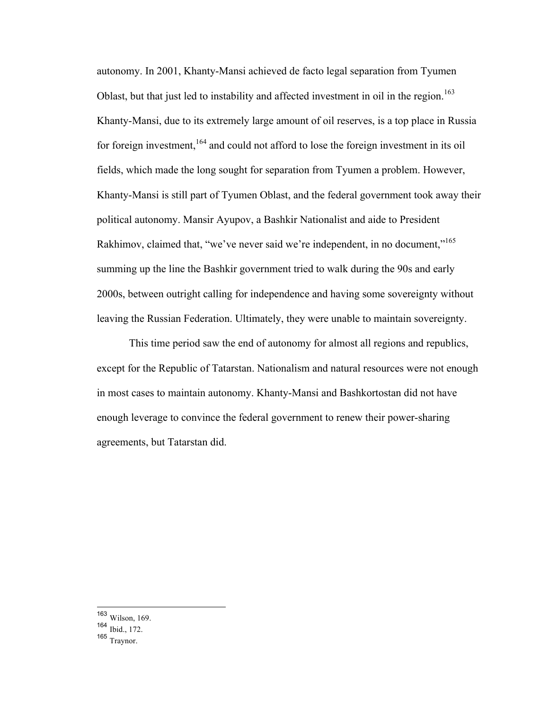autonomy. In 2001, Khanty-Mansi achieved de facto legal separation from Tyumen Oblast, but that just led to instability and affected investment in oil in the region.<sup>163</sup> Khanty-Mansi, due to its extremely large amount of oil reserves, is a top place in Russia for foreign investment, <sup>164</sup> and could not afford to lose the foreign investment in its oil fields, which made the long sought for separation from Tyumen a problem. However, Khanty-Mansi is still part of Tyumen Oblast, and the federal government took away their political autonomy. Mansir Ayupov, a Bashkir Nationalist and aide to President Rakhimov, claimed that, "we've never said we're independent, in no document."<sup>165</sup> summing up the line the Bashkir government tried to walk during the 90s and early 2000s, between outright calling for independence and having some sovereignty without leaving the Russian Federation. Ultimately, they were unable to maintain sovereignty.

This time period saw the end of autonomy for almost all regions and republics, except for the Republic of Tatarstan. Nationalism and natural resources were not enough in most cases to maintain autonomy. Khanty-Mansi and Bashkortostan did not have enough leverage to convince the federal government to renew their power-sharing agreements, but Tatarstan did.

 <sup>163</sup> Wilson, 169.

<sup>164</sup> Ibid., 172.

<sup>165</sup> Traynor.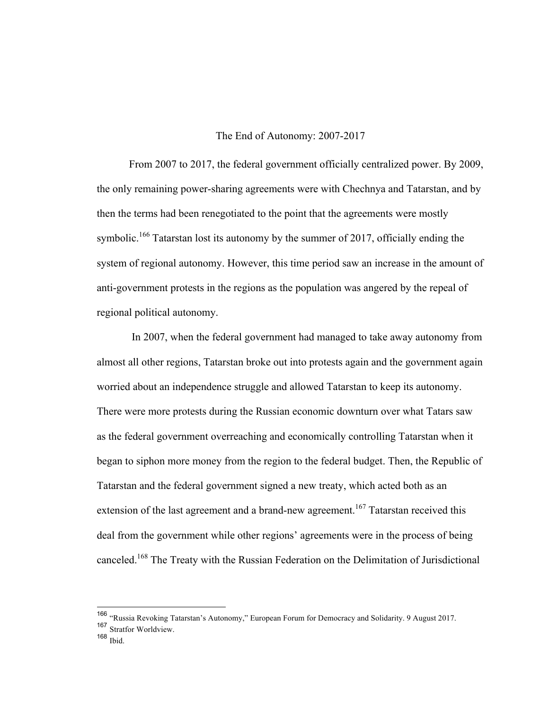#### The End of Autonomy: 2007-2017

From 2007 to 2017, the federal government officially centralized power. By 2009, the only remaining power-sharing agreements were with Chechnya and Tatarstan, and by then the terms had been renegotiated to the point that the agreements were mostly symbolic.<sup>166</sup> Tatarstan lost its autonomy by the summer of 2017, officially ending the system of regional autonomy. However, this time period saw an increase in the amount of anti-government protests in the regions as the population was angered by the repeal of regional political autonomy.

In 2007, when the federal government had managed to take away autonomy from almost all other regions, Tatarstan broke out into protests again and the government again worried about an independence struggle and allowed Tatarstan to keep its autonomy. There were more protests during the Russian economic downturn over what Tatars saw as the federal government overreaching and economically controlling Tatarstan when it began to siphon more money from the region to the federal budget. Then, the Republic of Tatarstan and the federal government signed a new treaty, which acted both as an extension of the last agreement and a brand-new agreement.<sup>167</sup> Tatarstan received this deal from the government while other regions' agreements were in the process of being canceled.168 The Treaty with the Russian Federation on the Delimitation of Jurisdictional

 <sup>166</sup> "Russia Revoking Tatarstan's Autonomy," European Forum for Democracy and Solidarity. 9 August 2017.

<sup>167</sup> Stratfor Worldview.

 $168$  Ibid.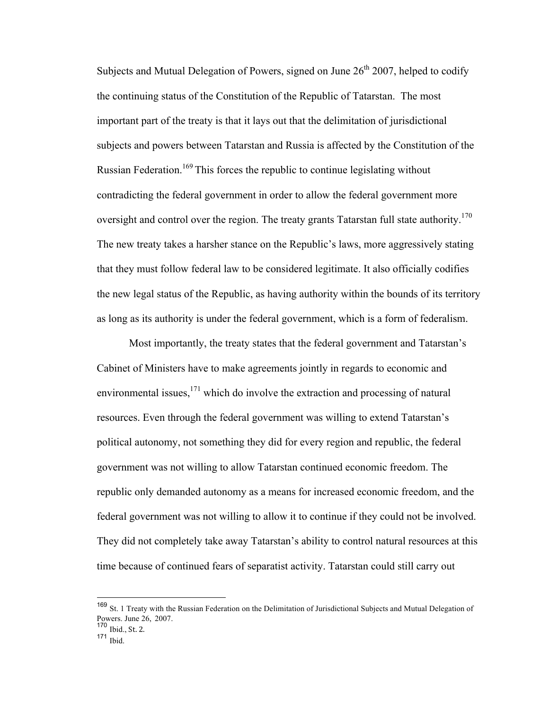Subjects and Mutual Delegation of Powers, signed on June  $26<sup>th</sup> 2007$ , helped to codify the continuing status of the Constitution of the Republic of Tatarstan. The most important part of the treaty is that it lays out that the delimitation of jurisdictional subjects and powers between Tatarstan and Russia is affected by the Constitution of the Russian Federation.<sup>169</sup> This forces the republic to continue legislating without contradicting the federal government in order to allow the federal government more oversight and control over the region. The treaty grants Tatarstan full state authority.<sup>170</sup> The new treaty takes a harsher stance on the Republic's laws, more aggressively stating that they must follow federal law to be considered legitimate. It also officially codifies the new legal status of the Republic, as having authority within the bounds of its territory as long as its authority is under the federal government, which is a form of federalism.

Most importantly, the treaty states that the federal government and Tatarstan's Cabinet of Ministers have to make agreements jointly in regards to economic and environmental issues, $171$  which do involve the extraction and processing of natural resources. Even through the federal government was willing to extend Tatarstan's political autonomy, not something they did for every region and republic, the federal government was not willing to allow Tatarstan continued economic freedom. The republic only demanded autonomy as a means for increased economic freedom, and the federal government was not willing to allow it to continue if they could not be involved. They did not completely take away Tatarstan's ability to control natural resources at this time because of continued fears of separatist activity. Tatarstan could still carry out

 <sup>169</sup> St. 1 Treaty with the Russian Federation on the Delimitation of Jurisdictional Subjects and Mutual Delegation of Powers. June 26, 2007.

<sup>170</sup> Ibid., St. 2.

 $171$  Ibid.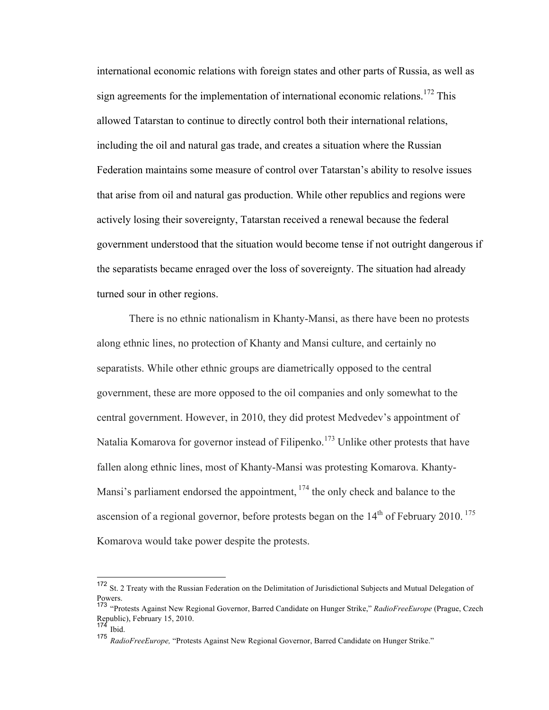international economic relations with foreign states and other parts of Russia, as well as sign agreements for the implementation of international economic relations.<sup>172</sup> This allowed Tatarstan to continue to directly control both their international relations, including the oil and natural gas trade, and creates a situation where the Russian Federation maintains some measure of control over Tatarstan's ability to resolve issues that arise from oil and natural gas production. While other republics and regions were actively losing their sovereignty, Tatarstan received a renewal because the federal government understood that the situation would become tense if not outright dangerous if the separatists became enraged over the loss of sovereignty. The situation had already turned sour in other regions.

There is no ethnic nationalism in Khanty-Mansi, as there have been no protests along ethnic lines, no protection of Khanty and Mansi culture, and certainly no separatists. While other ethnic groups are diametrically opposed to the central government, these are more opposed to the oil companies and only somewhat to the central government. However, in 2010, they did protest Medvedev's appointment of Natalia Komarova for governor instead of Filipenko.<sup>173</sup> Unlike other protests that have fallen along ethnic lines, most of Khanty-Mansi was protesting Komarova. Khanty-Mansi's parliament endorsed the appointment, <sup>174</sup> the only check and balance to the ascension of a regional governor, before protests began on the  $14<sup>th</sup>$  of February 2010.<sup>175</sup> Komarova would take power despite the protests.

 <sup>172</sup> St. 2 Treaty with the Russian Federation on the Delimitation of Jurisdictional Subjects and Mutual Delegation of Powers.

<sup>173</sup> "Protests Against New Regional Governor, Barred Candidate on Hunger Strike," *RadioFreeEurope* (Prague, Czech Republic), February 15, 2010.

 $174$  Ibid.

<sup>175</sup> *RadioFreeEurope,* "Protests Against New Regional Governor, Barred Candidate on Hunger Strike."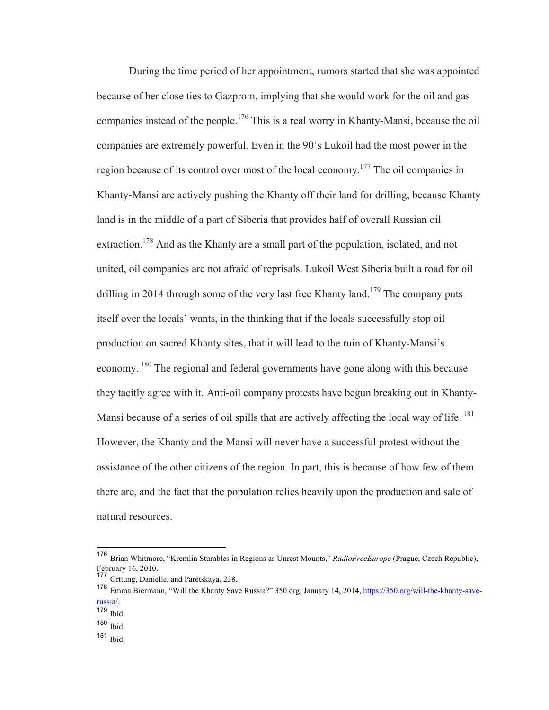During the time period of her appointment, rumors started that she was appointed because of her close ties to Gazprom, implying that she would work for the oil and gas companies instead of the people.<sup>176</sup> This is a real worry in Khanty-Mansi, because the oil companies are extremely powerful. Even in the 90's Lukoil had the most power in the region because of its control over most of the local economy.<sup>177</sup> The oil companies in Khanty-Mansi are actively pushing the Khanty off their land for drilling, because Khanty land is in the middle of a part of Siberia that provides half of overall Russian oil extraction.<sup>178</sup> And as the Khanty are a small part of the population, isolated, and not united, oil companies are not afraid of reprisals. Lukoil West Siberia built a road for oil drilling in 2014 through some of the very last free Khanty land.<sup>179</sup> The company puts itself over the locals' wants, in the thinking that if the locals successfully stop oil production on sacred Khanty sites, that it will lead to the ruin of Khanty-Mansi's economy. <sup>180</sup> The regional and federal governments have gone along with this because they tacitly agree with it. Anti-oil company protests have begun breaking out in Khanty-Mansi because of a series of oil spills that are actively affecting the local way of life. <sup>181</sup> However, the Khanty and the Mansi will never have a successful protest without the assistance of the other citizens of the region. In part, this is because of how few of them there are, and the fact that the population relies heavily upon the production and sale of natural resources.

 <sup>176</sup> Brian Whitmore, "Kremlin Stumbles in Regions as Unrest Mounts," *RadioFreeEurope* (Prague, Czech Republic), February 16, 2010.

<sup>177</sup> Orttung, Danielle, and Paretskaya, 238.

<sup>178</sup> Emma Biermann, "Will the Khanty Save Russia?" 350.org, January 14, 2014, https://350.org/will-the-khanty-saverussia/.

<sup>179</sup> Ibid.

<sup>180</sup> Ibid.

<sup>181</sup> Ibid.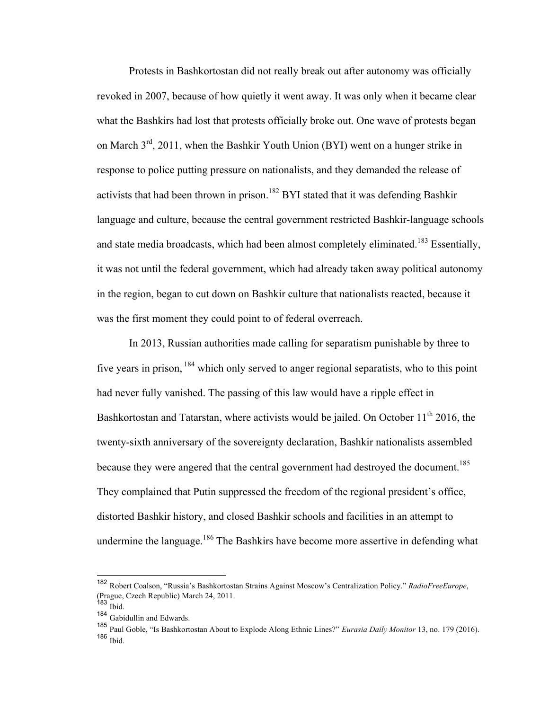Protests in Bashkortostan did not really break out after autonomy was officially revoked in 2007, because of how quietly it went away. It was only when it became clear what the Bashkirs had lost that protests officially broke out. One wave of protests began on March  $3^{rd}$ , 2011, when the Bashkir Youth Union (BYI) went on a hunger strike in response to police putting pressure on nationalists, and they demanded the release of activists that had been thrown in prison.<sup>182</sup> BYI stated that it was defending Bashkir language and culture, because the central government restricted Bashkir-language schools and state media broadcasts, which had been almost completely eliminated.<sup>183</sup> Essentially, it was not until the federal government, which had already taken away political autonomy in the region, began to cut down on Bashkir culture that nationalists reacted, because it was the first moment they could point to of federal overreach.

In 2013, Russian authorities made calling for separatism punishable by three to five years in prison, <sup>184</sup> which only served to anger regional separatists, who to this point had never fully vanished. The passing of this law would have a ripple effect in Bashkortostan and Tatarstan, where activists would be jailed. On October  $11<sup>th</sup>$  2016, the twenty-sixth anniversary of the sovereignty declaration, Bashkir nationalists assembled because they were angered that the central government had destroyed the document.<sup>185</sup> They complained that Putin suppressed the freedom of the regional president's office, distorted Bashkir history, and closed Bashkir schools and facilities in an attempt to undermine the language.<sup>186</sup> The Bashkirs have become more assertive in defending what

 <sup>182</sup> Robert Coalson, "Russia's Bashkortostan Strains Against Moscow's Centralization Policy." *RadioFreeEurope*, (Prague, Czech Republic) March 24, 2011.

 $183$  Ibid.

<sup>184</sup> Gabidullin and Edwards.

<sup>185</sup> Paul Goble, "Is Bashkortostan About to Explode Along Ethnic Lines?" *Eurasia Daily Monitor* 13, no. 179 (2016). <sup>186</sup> Ibid.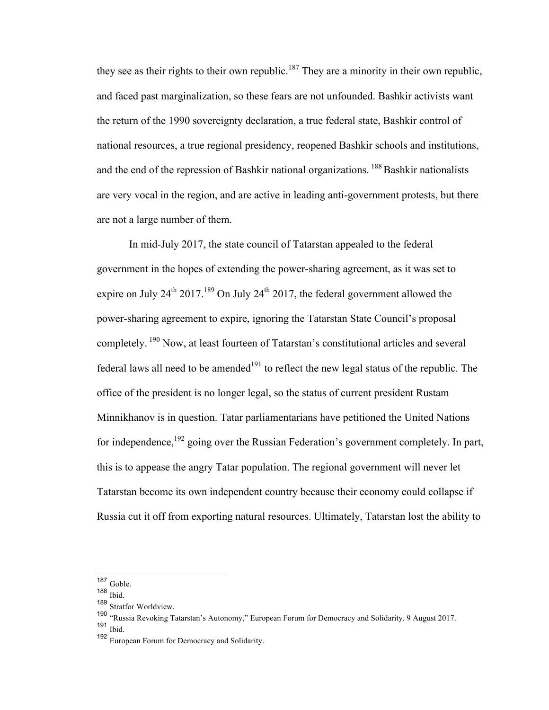they see as their rights to their own republic.<sup>187</sup> They are a minority in their own republic, and faced past marginalization, so these fears are not unfounded. Bashkir activists want the return of the 1990 sovereignty declaration, a true federal state, Bashkir control of national resources, a true regional presidency, reopened Bashkir schools and institutions, and the end of the repression of Bashkir national organizations. <sup>188</sup> Bashkir nationalists are very vocal in the region, and are active in leading anti-government protests, but there are not a large number of them.

In mid-July 2017, the state council of Tatarstan appealed to the federal government in the hopes of extending the power-sharing agreement, as it was set to expire on July  $24^{th}$  2017.<sup>189</sup> On July  $24^{th}$  2017, the federal government allowed the power-sharing agreement to expire, ignoring the Tatarstan State Council's proposal completely. <sup>190</sup> Now, at least fourteen of Tatarstan's constitutional articles and several federal laws all need to be amended<sup>191</sup> to reflect the new legal status of the republic. The office of the president is no longer legal, so the status of current president Rustam Minnikhanov is in question. Tatar parliamentarians have petitioned the United Nations for independence,<sup>192</sup> going over the Russian Federation's government completely. In part, this is to appease the angry Tatar population. The regional government will never let Tatarstan become its own independent country because their economy could collapse if Russia cut it off from exporting natural resources. Ultimately, Tatarstan lost the ability to

 <sup>187</sup> Goble.

<sup>188</sup> Ibid.

<sup>189</sup> Stratfor Worldview.

<sup>190</sup> "Russia Revoking Tatarstan's Autonomy," European Forum for Democracy and Solidarity. 9 August 2017.

<sup>191</sup> Ibid.

<sup>192</sup> European Forum for Democracy and Solidarity.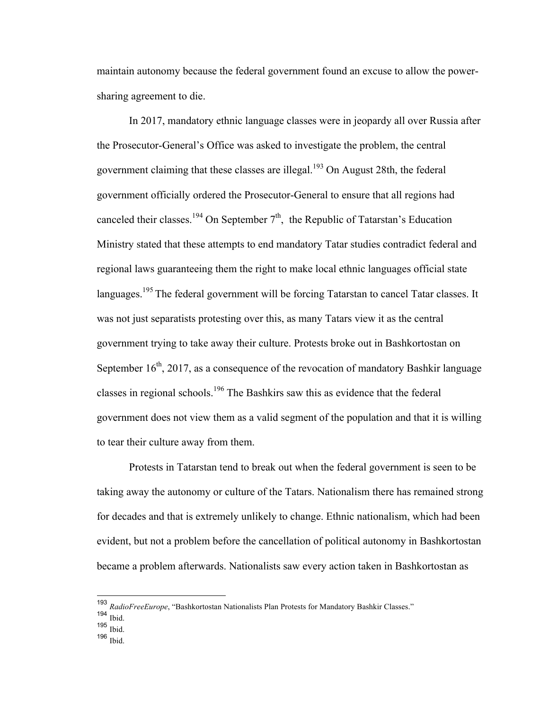maintain autonomy because the federal government found an excuse to allow the powersharing agreement to die.

In 2017, mandatory ethnic language classes were in jeopardy all over Russia after the Prosecutor-General's Office was asked to investigate the problem, the central government claiming that these classes are illegal.<sup>193</sup> On August 28th, the federal government officially ordered the Prosecutor-General to ensure that all regions had canceled their classes.<sup>194</sup> On September  $7<sup>th</sup>$ , the Republic of Tatarstan's Education Ministry stated that these attempts to end mandatory Tatar studies contradict federal and regional laws guaranteeing them the right to make local ethnic languages official state languages.<sup>195</sup> The federal government will be forcing Tatarstan to cancel Tatar classes. It was not just separatists protesting over this, as many Tatars view it as the central government trying to take away their culture. Protests broke out in Bashkortostan on September  $16<sup>th</sup>$ , 2017, as a consequence of the revocation of mandatory Bashkir language classes in regional schools.<sup>196</sup> The Bashkirs saw this as evidence that the federal government does not view them as a valid segment of the population and that it is willing to tear their culture away from them.

Protests in Tatarstan tend to break out when the federal government is seen to be taking away the autonomy or culture of the Tatars. Nationalism there has remained strong for decades and that is extremely unlikely to change. Ethnic nationalism, which had been evident, but not a problem before the cancellation of political autonomy in Bashkortostan became a problem afterwards. Nationalists saw every action taken in Bashkortostan as

<sup>196</sup> Ibid.

 <sup>193</sup> *RadioFreeEurope*, "Bashkortostan Nationalists Plan Protests for Mandatory Bashkir Classes."

 $194$  Ibid.

<sup>195</sup> Ibid.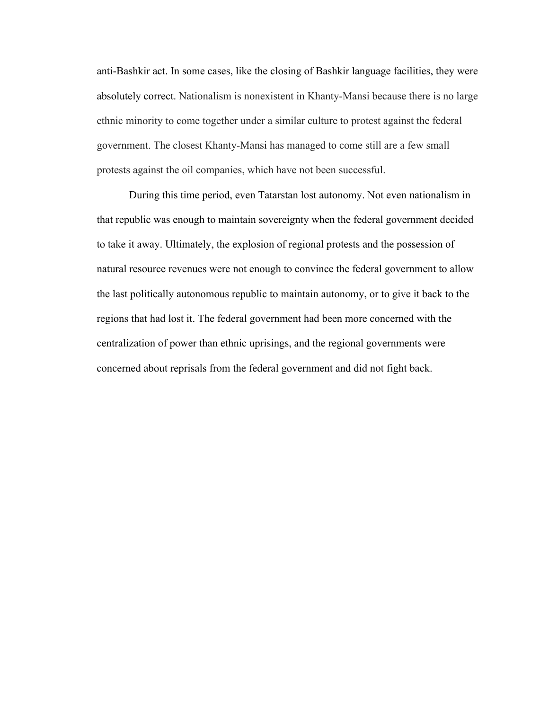anti-Bashkir act. In some cases, like the closing of Bashkir language facilities, they were absolutely correct. Nationalism is nonexistent in Khanty-Mansi because there is no large ethnic minority to come together under a similar culture to protest against the federal government. The closest Khanty-Mansi has managed to come still are a few small protests against the oil companies, which have not been successful.

During this time period, even Tatarstan lost autonomy. Not even nationalism in that republic was enough to maintain sovereignty when the federal government decided to take it away. Ultimately, the explosion of regional protests and the possession of natural resource revenues were not enough to convince the federal government to allow the last politically autonomous republic to maintain autonomy, or to give it back to the regions that had lost it. The federal government had been more concerned with the centralization of power than ethnic uprisings, and the regional governments were concerned about reprisals from the federal government and did not fight back.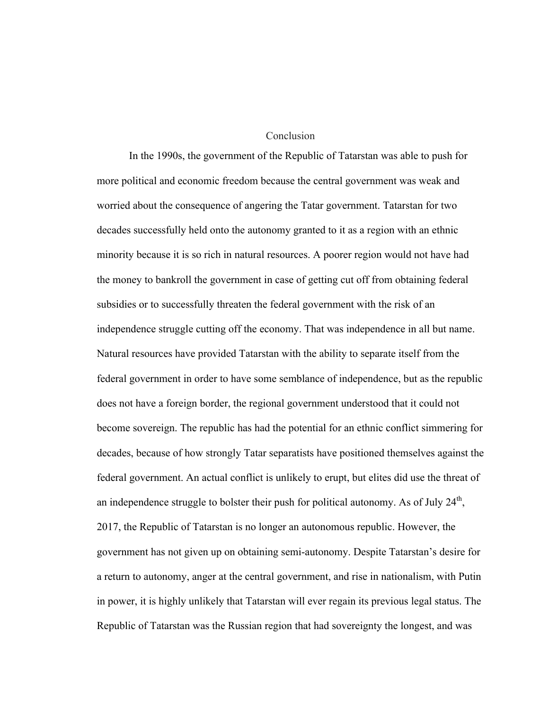#### Conclusion

In the 1990s, the government of the Republic of Tatarstan was able to push for more political and economic freedom because the central government was weak and worried about the consequence of angering the Tatar government. Tatarstan for two decades successfully held onto the autonomy granted to it as a region with an ethnic minority because it is so rich in natural resources. A poorer region would not have had the money to bankroll the government in case of getting cut off from obtaining federal subsidies or to successfully threaten the federal government with the risk of an independence struggle cutting off the economy. That was independence in all but name. Natural resources have provided Tatarstan with the ability to separate itself from the federal government in order to have some semblance of independence, but as the republic does not have a foreign border, the regional government understood that it could not become sovereign. The republic has had the potential for an ethnic conflict simmering for decades, because of how strongly Tatar separatists have positioned themselves against the federal government. An actual conflict is unlikely to erupt, but elites did use the threat of an independence struggle to bolster their push for political autonomy. As of July  $24<sup>th</sup>$ , 2017, the Republic of Tatarstan is no longer an autonomous republic. However, the government has not given up on obtaining semi-autonomy. Despite Tatarstan's desire for a return to autonomy, anger at the central government, and rise in nationalism, with Putin in power, it is highly unlikely that Tatarstan will ever regain its previous legal status. The Republic of Tatarstan was the Russian region that had sovereignty the longest, and was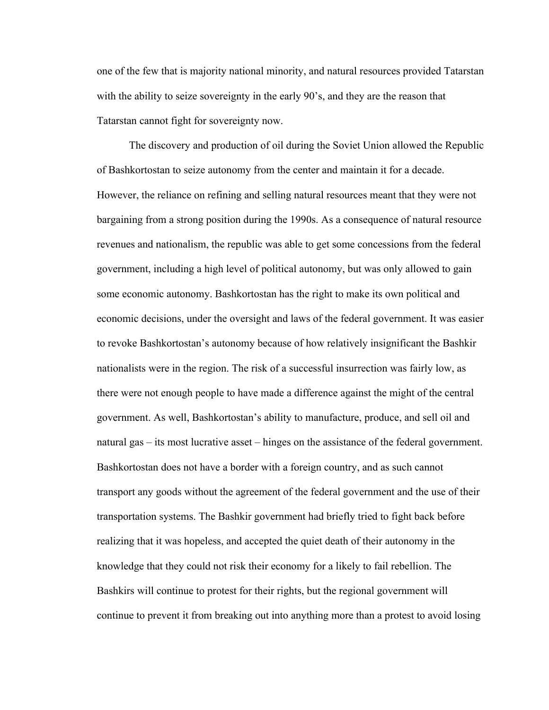one of the few that is majority national minority, and natural resources provided Tatarstan with the ability to seize sovereignty in the early 90's, and they are the reason that Tatarstan cannot fight for sovereignty now.

The discovery and production of oil during the Soviet Union allowed the Republic of Bashkortostan to seize autonomy from the center and maintain it for a decade. However, the reliance on refining and selling natural resources meant that they were not bargaining from a strong position during the 1990s. As a consequence of natural resource revenues and nationalism, the republic was able to get some concessions from the federal government, including a high level of political autonomy, but was only allowed to gain some economic autonomy. Bashkortostan has the right to make its own political and economic decisions, under the oversight and laws of the federal government. It was easier to revoke Bashkortostan's autonomy because of how relatively insignificant the Bashkir nationalists were in the region. The risk of a successful insurrection was fairly low, as there were not enough people to have made a difference against the might of the central government. As well, Bashkortostan's ability to manufacture, produce, and sell oil and natural gas – its most lucrative asset – hinges on the assistance of the federal government. Bashkortostan does not have a border with a foreign country, and as such cannot transport any goods without the agreement of the federal government and the use of their transportation systems. The Bashkir government had briefly tried to fight back before realizing that it was hopeless, and accepted the quiet death of their autonomy in the knowledge that they could not risk their economy for a likely to fail rebellion. The Bashkirs will continue to protest for their rights, but the regional government will continue to prevent it from breaking out into anything more than a protest to avoid losing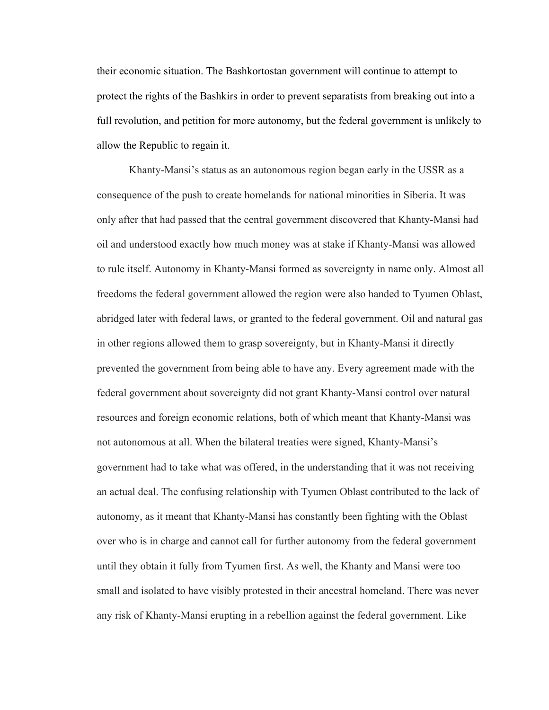their economic situation. The Bashkortostan government will continue to attempt to protect the rights of the Bashkirs in order to prevent separatists from breaking out into a full revolution, and petition for more autonomy, but the federal government is unlikely to allow the Republic to regain it.

Khanty-Mansi's status as an autonomous region began early in the USSR as a consequence of the push to create homelands for national minorities in Siberia. It was only after that had passed that the central government discovered that Khanty-Mansi had oil and understood exactly how much money was at stake if Khanty-Mansi was allowed to rule itself. Autonomy in Khanty-Mansi formed as sovereignty in name only. Almost all freedoms the federal government allowed the region were also handed to Tyumen Oblast, abridged later with federal laws, or granted to the federal government. Oil and natural gas in other regions allowed them to grasp sovereignty, but in Khanty-Mansi it directly prevented the government from being able to have any. Every agreement made with the federal government about sovereignty did not grant Khanty-Mansi control over natural resources and foreign economic relations, both of which meant that Khanty-Mansi was not autonomous at all. When the bilateral treaties were signed, Khanty-Mansi's government had to take what was offered, in the understanding that it was not receiving an actual deal. The confusing relationship with Tyumen Oblast contributed to the lack of autonomy, as it meant that Khanty-Mansi has constantly been fighting with the Oblast over who is in charge and cannot call for further autonomy from the federal government until they obtain it fully from Tyumen first. As well, the Khanty and Mansi were too small and isolated to have visibly protested in their ancestral homeland. There was never any risk of Khanty-Mansi erupting in a rebellion against the federal government. Like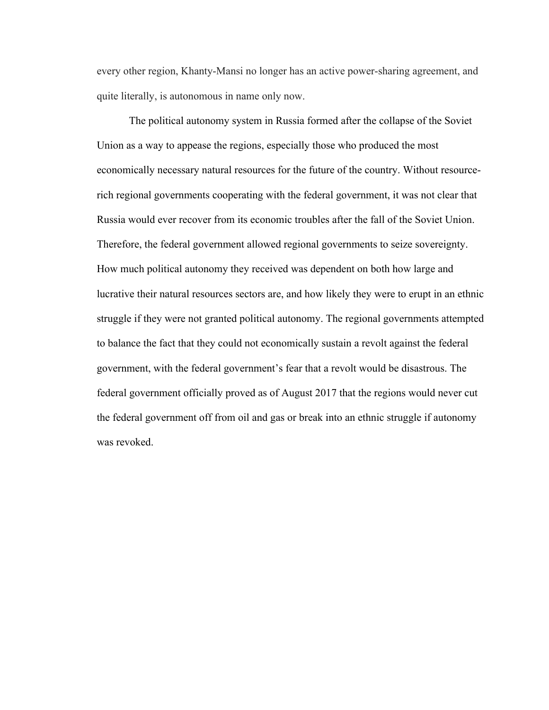every other region, Khanty-Mansi no longer has an active power-sharing agreement, and quite literally, is autonomous in name only now.

The political autonomy system in Russia formed after the collapse of the Soviet Union as a way to appease the regions, especially those who produced the most economically necessary natural resources for the future of the country. Without resourcerich regional governments cooperating with the federal government, it was not clear that Russia would ever recover from its economic troubles after the fall of the Soviet Union. Therefore, the federal government allowed regional governments to seize sovereignty. How much political autonomy they received was dependent on both how large and lucrative their natural resources sectors are, and how likely they were to erupt in an ethnic struggle if they were not granted political autonomy. The regional governments attempted to balance the fact that they could not economically sustain a revolt against the federal government, with the federal government's fear that a revolt would be disastrous. The federal government officially proved as of August 2017 that the regions would never cut the federal government off from oil and gas or break into an ethnic struggle if autonomy was revoked.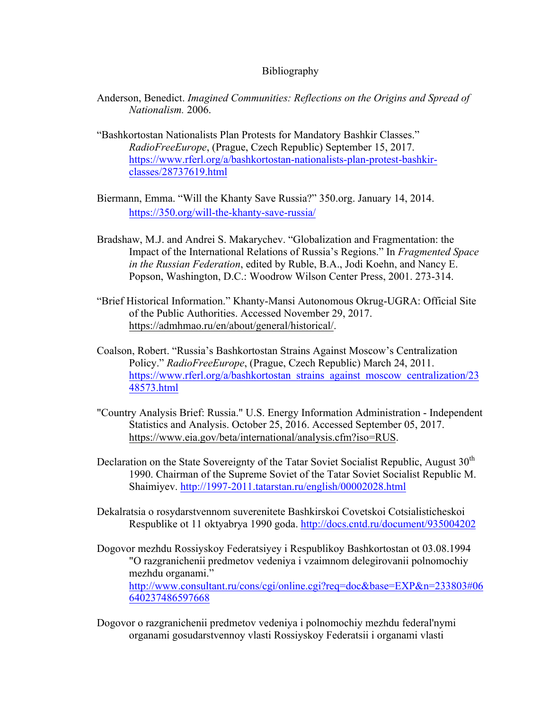## Bibliography

- Anderson, Benedict. *Imagined Communities: Reflections on the Origins and Spread of Nationalism.* 2006.
- "Bashkortostan Nationalists Plan Protests for Mandatory Bashkir Classes." *RadioFreeEurope*, (Prague, Czech Republic) September 15, 2017. https://www.rferl.org/a/bashkortostan-nationalists-plan-protest-bashkirclasses/28737619.html
- Biermann, Emma. "Will the Khanty Save Russia?" 350.org. January 14, 2014. https://350.org/will-the-khanty-save-russia/
- Bradshaw, M.J. and Andrei S. Makarychev. "Globalization and Fragmentation: the Impact of the International Relations of Russia's Regions." In *Fragmented Space in the Russian Federation*, edited by Ruble, B.A., Jodi Koehn, and Nancy E. Popson, Washington, D.C.: Woodrow Wilson Center Press, 2001. 273-314.
- "Brief Historical Information." Khanty-Mansi Autonomous Okrug-UGRA: Official Site of the Public Authorities. Accessed November 29, 2017. https://admhmao.ru/en/about/general/historical/.
- Coalson, Robert. "Russia's Bashkortostan Strains Against Moscow's Centralization Policy." *RadioFreeEurope*, (Prague, Czech Republic) March 24, 2011. https://www.rferl.org/a/bashkortostan\_strains\_against\_moscow\_centralization/23 48573.html
- "Country Analysis Brief: Russia." U.S. Energy Information Administration Independent Statistics and Analysis. October 25, 2016. Accessed September 05, 2017. https://www.eia.gov/beta/international/analysis.cfm?iso=RUS.
- Declaration on the State Sovereignty of the Tatar Soviet Socialist Republic, August  $30<sup>th</sup>$ 1990. Chairman of the Supreme Soviet of the Tatar Soviet Socialist Republic M. Shaimiyev. http://1997-2011.tatarstan.ru/english/00002028.html
- Dekalratsia o rosydarstvennom suverenitete Bashkirskoi Covetskoi Cotsialisticheskoi Respublike ot 11 oktyabrya 1990 goda. http://docs.cntd.ru/document/935004202
- Dogovor mezhdu Rossiyskoy Federatsiyey i Respublikoy Bashkortostan ot 03.08.1994 "O razgranichenii predmetov vedeniya i vzaimnom delegirovanii polnomochiy mezhdu organami." http://www.consultant.ru/cons/cgi/online.cgi?req=doc&base=EXP&n=233803#06 640237486597668
- Dogovor o razgranichenii predmetov vedeniya i polnomochiy mezhdu federal'nymi organami gosudarstvennoy vlasti Rossiyskoy Federatsii i organami vlasti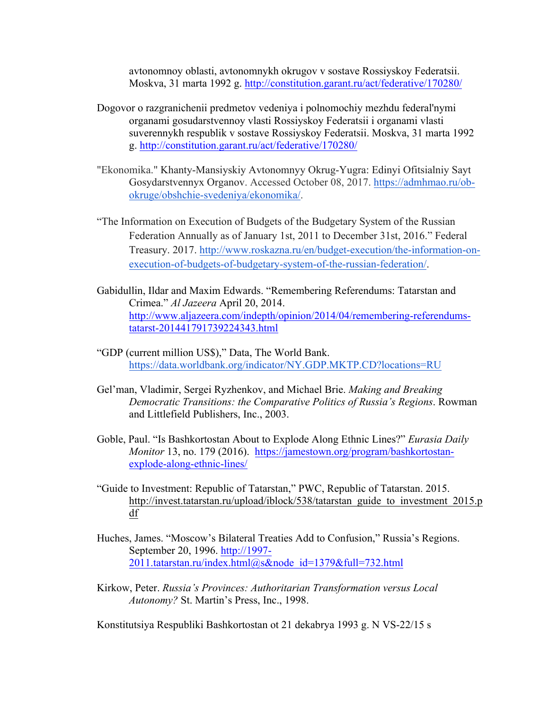avtonomnoy oblasti, avtonomnykh okrugov v sostave Rossiyskoy Federatsii. Moskva, 31 marta 1992 g. http://constitution.garant.ru/act/federative/170280/

- Dogovor o razgranichenii predmetov vedeniya i polnomochiy mezhdu federal'nymi organami gosudarstvennoy vlasti Rossiyskoy Federatsii i organami vlasti suverennykh respublik v sostave Rossiyskoy Federatsii. Moskva, 31 marta 1992 g. http://constitution.garant.ru/act/federative/170280/
- "Ekonomika." Khanty-Mansiyskiy Avtonomnyy Okrug-Yugra: Edinyi Ofitsialniy Sayt Gosydarstvennyx Organov. Accessed October 08, 2017. https://admhmao.ru/obokruge/obshchie-svedeniya/ekonomika/.
- "The Information on Execution of Budgets of the Budgetary System of the Russian Federation Annually as of January 1st, 2011 to December 31st, 2016." Federal Treasury. 2017. http://www.roskazna.ru/en/budget-execution/the-information-onexecution-of-budgets-of-budgetary-system-of-the-russian-federation/.
- Gabidullin, Ildar and Maxim Edwards. "Remembering Referendums: Tatarstan and Crimea." *Al Jazeera* April 20, 2014. http://www.aljazeera.com/indepth/opinion/2014/04/remembering-referendumstatarst-201441791739224343.html
- "GDP (current million US\$)," Data, The World Bank. https://data.worldbank.org/indicator/NY.GDP.MKTP.CD?locations=RU
- Gel'man, Vladimir, Sergei Ryzhenkov, and Michael Brie. *Making and Breaking Democratic Transitions: the Comparative Politics of Russia's Regions*. Rowman and Littlefield Publishers, Inc., 2003.
- Goble, Paul. "Is Bashkortostan About to Explode Along Ethnic Lines?" *Eurasia Daily Monitor* 13, no. 179 (2016). https://jamestown.org/program/bashkortostanexplode-along-ethnic-lines/
- "Guide to Investment: Republic of Tatarstan," PWC, Republic of Tatarstan. 2015. http://invest.tatarstan.ru/upload/iblock/538/tatarstan\_guide\_to\_investment\_2015.p df
- Huches, James. "Moscow's Bilateral Treaties Add to Confusion," Russia's Regions. September 20, 1996. http://1997- 2011.tatarstan.ru/index.html@s&node\_id=1379&full=732.html
- Kirkow, Peter. *Russia's Provinces: Authoritarian Transformation versus Local Autonomy?* St. Martin's Press, Inc., 1998.

Konstitutsiya Respubliki Bashkortostan ot 21 dekabrya 1993 g. N VS-22/15 s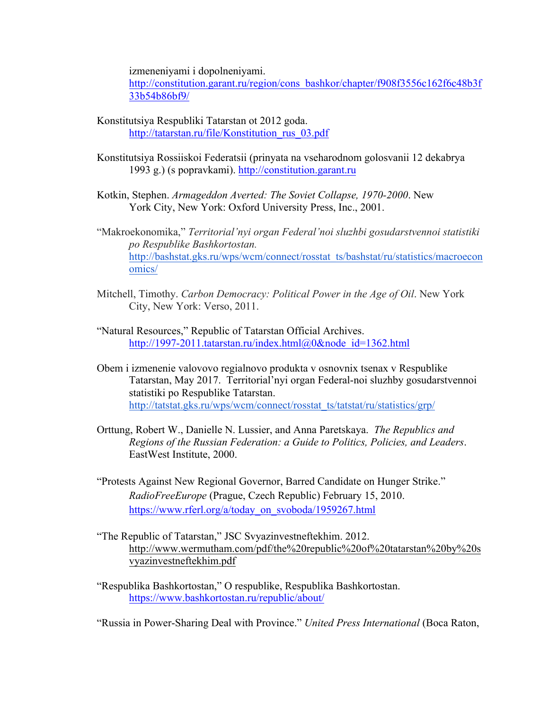izmeneniyami i dopolneniyami.

http://constitution.garant.ru/region/cons\_bashkor/chapter/f908f3556c162f6c48b3f 33b54b86bf9/

- Konstitutsiya Respubliki Tatarstan ot 2012 goda. http://tatarstan.ru/file/Konstitution\_rus\_03.pdf
- Konstitutsiya Rossiiskoi Federatsii (prinyata na vseharodnom golosvanii 12 dekabrya 1993 g.) (s popravkami). http://constitution.garant.ru
- Kotkin, Stephen. *Armageddon Averted: The Soviet Collapse, 1970-2000*. New York City, New York: Oxford University Press, Inc., 2001.
- "Makroekonomika," *Territorial'nyi organ Federal'noi sluzhbi gosudarstvennoi statistiki po Respublike Bashkortostan.* http://bashstat.gks.ru/wps/wcm/connect/rosstat\_ts/bashstat/ru/statistics/macroecon omics/
- Mitchell, Timothy. *Carbon Democracy: Political Power in the Age of Oil*. New York City, New York: Verso, 2011.
- "Natural Resources," Republic of Tatarstan Official Archives. http://1997-2011.tatarstan.ru/index.html@0&node\_id=1362.html
- Obem i izmenenie valovovo regialnovo produkta v osnovnix tsenax v Respublike Tatarstan, May 2017. Territorial'nyi organ Federal-noi sluzhby gosudarstvennoi statistiki po Respublike Tatarstan. http://tatstat.gks.ru/wps/wcm/connect/rosstat\_ts/tatstat/ru/statistics/grp/
- Orttung, Robert W., Danielle N. Lussier, and Anna Paretskaya. *The Republics and Regions of the Russian Federation: a Guide to Politics, Policies, and Leaders*. EastWest Institute, 2000.
- "Protests Against New Regional Governor, Barred Candidate on Hunger Strike." *RadioFreeEurope* (Prague, Czech Republic) February 15, 2010. https://www.rferl.org/a/today\_on\_svoboda/1959267.html
- "The Republic of Tatarstan," JSC Svyazinvestneftekhim. 2012. http://www.wermutham.com/pdf/the%20republic%20of%20tatarstan%20by%20s vyazinvestneftekhim.pdf
- "Respublika Bashkortostan," O respublike, Respublika Bashkortostan. https://www.bashkortostan.ru/republic/about/

"Russia in Power-Sharing Deal with Province." *United Press International* (Boca Raton,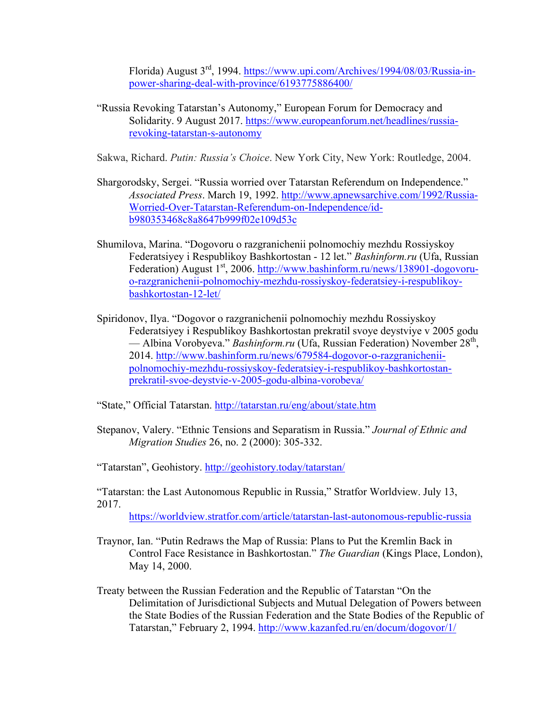Florida) August 3rd, 1994. https://www.upi.com/Archives/1994/08/03/Russia-inpower-sharing-deal-with-province/6193775886400/

"Russia Revoking Tatarstan's Autonomy," European Forum for Democracy and Solidarity. 9 August 2017. https://www.europeanforum.net/headlines/russiarevoking-tatarstan-s-autonomy

Sakwa, Richard. *Putin: Russia's Choice*. New York City, New York: Routledge, 2004.

- Shargorodsky, Sergei. "Russia worried over Tatarstan Referendum on Independence." *Associated Press*. March 19, 1992. http://www.apnewsarchive.com/1992/Russia-Worried-Over-Tatarstan-Referendum-on-Independence/idb980353468c8a8647b999f02e109d53c
- Shumilova, Marina. "Dogovoru o razgranichenii polnomochiy mezhdu Rossiyskoy Federatsiyey i Respublikoy Bashkortostan - 12 let." *Bashinform.ru* (Ufa, Russian Federation) August  $1<sup>st</sup>$ , 2006. http://www.bashinform.ru/news/138901-dogovoruo-razgranichenii-polnomochiy-mezhdu-rossiyskoy-federatsiey-i-respublikoybashkortostan-12-let/
- Spiridonov, Ilya. "Dogovor o razgranichenii polnomochiy mezhdu Rossiyskoy Federatsiyey i Respublikoy Bashkortostan prekratil svoye deystviye v 2005 godu — Albina Vorobyeva." *Bashinform.ru* (Ufa, Russian Federation) November 28<sup>th</sup>, 2014. http://www.bashinform.ru/news/679584-dogovor-o-razgranicheniipolnomochiy-mezhdu-rossiyskoy-federatsiey-i-respublikoy-bashkortostanprekratil-svoe-deystvie-v-2005-godu-albina-vorobeva/

"State," Official Tatarstan. http://tatarstan.ru/eng/about/state.htm

Stepanov, Valery. "Ethnic Tensions and Separatism in Russia." *Journal of Ethnic and Migration Studies* 26, no. 2 (2000): 305-332.

"Tatarstan", Geohistory. http://geohistory.today/tatarstan/

"Tatarstan: the Last Autonomous Republic in Russia," Stratfor Worldview. July 13, 2017.

https://worldview.stratfor.com/article/tatarstan-last-autonomous-republic-russia

- Traynor, Ian. "Putin Redraws the Map of Russia: Plans to Put the Kremlin Back in Control Face Resistance in Bashkortostan." *The Guardian* (Kings Place, London), May 14, 2000.
- Treaty between the Russian Federation and the Republic of Tatarstan "On the Delimitation of Jurisdictional Subjects and Mutual Delegation of Powers between the State Bodies of the Russian Federation and the State Bodies of the Republic of Tatarstan," February 2, 1994. http://www.kazanfed.ru/en/docum/dogovor/1/